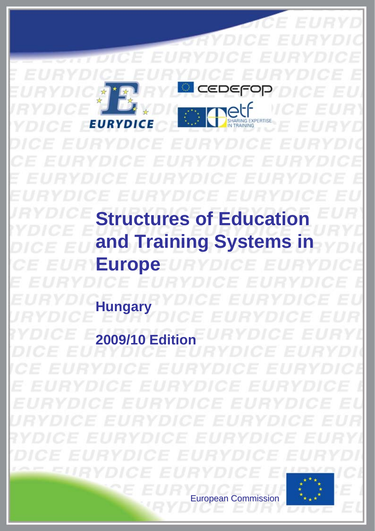ס∈ו SHARING EXP CE EURY **Structures of Education and Training Systems in Europe Hungary 2009/10 Edit** 

European Commission European Commission

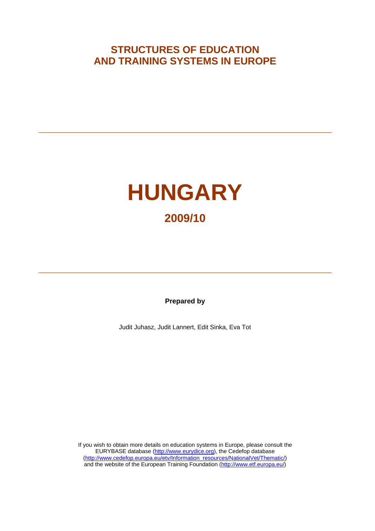## **STRUCTURES OF EDUCATION AND TRAINING SYSTEMS IN EUROPE**



**Prepared by** 

Judit Juhasz, Judit Lannert, Edit Sinka, Eva Tot

If you wish to obtain more details on education systems in Europe, please consult the EURYBASE database [\(http://www.eurydice.org](http://www.eurydice.org/)), the Cedefop database [\(http://www.cedefop.europa.eu/etv/Information\\_resources/NationalVet/Thematic/](http://www.cedefop.europa.eu/etv/Information_resources/NationalVet/Thematic/)) and the website of the European Training Foundation (<http://www.etf.europa.eu/>)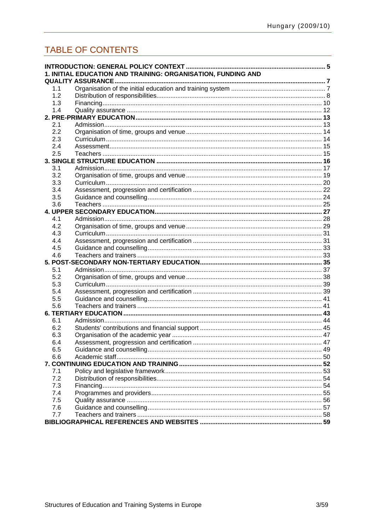# TABLE OF CONTENTS

|     | 1. INITIAL EDUCATION AND TRAINING: ORGANISATION, FUNDING AND |  |
|-----|--------------------------------------------------------------|--|
|     |                                                              |  |
| 1.1 |                                                              |  |
| 1.2 |                                                              |  |
| 1.3 |                                                              |  |
| 1.4 |                                                              |  |
|     |                                                              |  |
| 2.1 |                                                              |  |
| 2.2 |                                                              |  |
| 2.3 |                                                              |  |
| 2.4 |                                                              |  |
| 2.5 |                                                              |  |
|     |                                                              |  |
| 3.1 |                                                              |  |
| 3.2 |                                                              |  |
| 3.3 |                                                              |  |
| 3.4 |                                                              |  |
| 3.5 |                                                              |  |
| 3.6 |                                                              |  |
|     |                                                              |  |
| 4.1 |                                                              |  |
| 4.2 |                                                              |  |
| 4.3 |                                                              |  |
| 4.4 |                                                              |  |
| 4.5 |                                                              |  |
| 4.6 |                                                              |  |
|     |                                                              |  |
| 5.1 |                                                              |  |
| 5.2 |                                                              |  |
| 5.3 |                                                              |  |
| 5.4 |                                                              |  |
| 5.5 |                                                              |  |
| 5.6 |                                                              |  |
|     |                                                              |  |
| 6.1 |                                                              |  |
| 6.2 |                                                              |  |
| 6.3 |                                                              |  |
| 6.4 |                                                              |  |
| 6.5 |                                                              |  |
| 6.6 |                                                              |  |
|     |                                                              |  |
| 7.1 |                                                              |  |
| 7.2 |                                                              |  |
| 7.3 |                                                              |  |
| 7.4 |                                                              |  |
| 7.5 |                                                              |  |
| 7.6 |                                                              |  |
| 7.7 |                                                              |  |
|     |                                                              |  |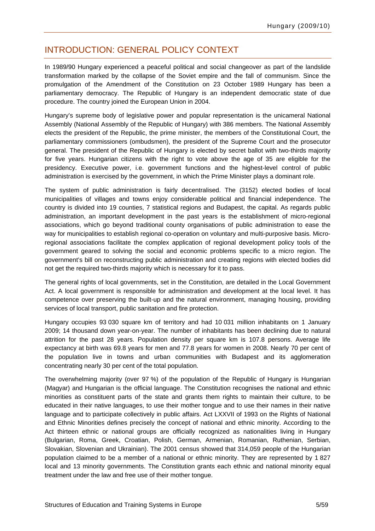### <span id="page-6-0"></span>INTRODUCTION: GENERAL POLICY CONTEXT

In 1989/90 Hungary experienced a peaceful political and social changeover as part of the landslide transformation marked by the collapse of the Soviet empire and the fall of communism. Since the promulgation of the Amendment of the Constitution on 23 October 1989 Hungary has been a parliamentary democracy. The Republic of Hungary is an independent democratic state of due procedure. The country joined the European Union in 2004.

Hungary's supreme body of legislative power and popular representation is the unicameral National Assembly (National Assembly of the Republic of Hungary) with 386 members. The National Assembly elects the president of the Republic, the prime minister, the members of the Constitutional Court, the parliamentary commissioners (ombudsmen), the president of the Supreme Court and the prosecutor general. The president of the Republic of Hungary is elected by secret ballot with two-thirds majority for five years. Hungarian citizens with the right to vote above the age of 35 are eligible for the presidency. Executive power, i.e. government functions and the highest-level control of public administration is exercised by the government, in which the Prime Minister plays a dominant role.

The system of public administration is fairly decentralised. The (3152) elected bodies of local municipalities of villages and towns enjoy considerable political and financial independence. The country is divided into 19 counties, 7 statistical regions and Budapest, the capital. As regards public administration, an important development in the past years is the establishment of micro-regional associations, which go beyond traditional county organisations of public administration to ease the way for municipalities to establish regional co-operation on voluntary and multi-purposive basis. Microregional associations facilitate the complex application of regional development policy tools of the government geared to solving the social and economic problems specific to a micro region. The government's bill on reconstructing public administration and creating regions with elected bodies did not get the required two-thirds majority which is necessary for it to pass.

The general rights of local governments, set in the Constitution, are detailed in the Local Government Act. A local government is responsible for administration and development at the local level. It has competence over preserving the built-up and the natural environment, managing housing, providing services of local transport, public sanitation and fire protection.

Hungary occupies 93 030 square km of territory and had 10 031 million inhabitants on 1 January 2009; 14 thousand down year-on-year. The number of inhabitants has been declining due to natural attrition for the past 28 years. Population density per square km is 107.8 persons. Average life expectancy at birth was 69.8 years for men and 77.8 years for women in 2008. Nearly 70 per cent of the population live in towns and urban communities with Budapest and its agglomeration concentrating nearly 30 per cent of the total population.

The overwhelming majority (over 97 %) of the population of the Republic of Hungary is Hungarian (Magyar) and Hungarian is the official language. The Constitution recognises the national and ethnic minorities as constituent parts of the state and grants them rights to maintain their culture, to be educated in their native languages, to use their mother tongue and to use their names in their native language and to participate collectively in public affairs. Act LXXVII of 1993 on the Rights of National and Ethnic Minorities defines precisely the concept of national and ethnic minority. According to the Act thirteen ethnic or national groups are officially recognized as nationalities living in Hungary (Bulgarian, Roma, Greek, Croatian, Polish, German, Armenian, Romanian, Ruthenian, Serbian, Slovakian, Slovenian and Ukrainian). The 2001 census showed that 314,059 people of the Hungarian population claimed to be a member of a national or ethnic minority. They are represented by 1 827 local and 13 minority governments. The Constitution grants each ethnic and national minority equal treatment under the law and free use of their mother tongue.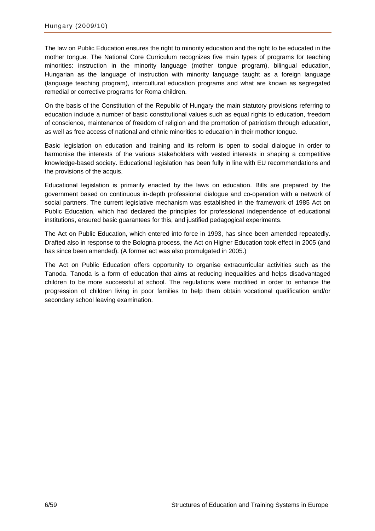The law on Public Education ensures the right to minority education and the right to be educated in the mother tongue. The National Core Curriculum recognizes five main types of programs for teaching minorities: instruction in the minority language (mother tongue program), bilingual education, Hungarian as the language of instruction with minority language taught as a foreign language (language teaching program), intercultural education programs and what are known as segregated remedial or corrective programs for Roma children.

On the basis of the Constitution of the Republic of Hungary the main statutory provisions referring to education include a number of basic constitutional values such as equal rights to education, freedom of conscience, maintenance of freedom of religion and the promotion of patriotism through education, as well as free access of national and ethnic minorities to education in their mother tongue.

Basic legislation on education and training and its reform is open to social dialogue in order to harmonise the interests of the various stakeholders with vested interests in shaping a competitive knowledge-based society. Educational legislation has been fully in line with EU recommendations and the provisions of the acquis.

Educational legislation is primarily enacted by the laws on education. Bills are prepared by the government based on continuous in-depth professional dialogue and co-operation with a network of social partners. The current legislative mechanism was established in the framework of 1985 Act on Public Education, which had declared the principles for professional independence of educational institutions, ensured basic guarantees for this, and justified pedagogical experiments.

The Act on Public Education, which entered into force in 1993, has since been amended repeatedly. Drafted also in response to the Bologna process, the Act on Higher Education took effect in 2005 (and has since been amended). (A former act was also promulgated in 2005.)

The Act on Public Education offers opportunity to organise extracurricular activities such as the Tanoda. Tanoda is a form of education that aims at reducing inequalities and helps disadvantaged children to be more successful at school. The regulations were modified in order to enhance the progression of children living in poor families to help them obtain vocational qualification and/or secondary school leaving examination.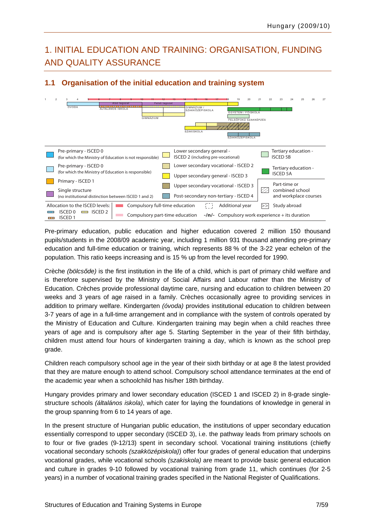## <span id="page-8-0"></span>1. INITIAL EDUCATION AND TRAINING: ORGANISATION, FUNDING AND QUALITY ASSURANCE

### **1.1 Organisation of the initial education and training system**



Pre-primary education, public education and higher education covered 2 million 150 thousand pupils/students in the 2008/09 academic year, including 1 million 931 thousand attending pre-primary education and full-time education or training, which represents 88 % of the 3-22 year echelon of the population. This ratio keeps increasing and is 15 % up from the level recorded for 1990.

Crèche *(bölcsőde)* is the first institution in the life of a child, which is part of primary child welfare and is therefore supervised by the Ministry of Social Affairs and Labour rather than the Ministry of Education. Crèches provide professional daytime care, nursing and education to children between 20 weeks and 3 years of age raised in a family. Crèches occasionally agree to providing services in addition to primary welfare. Kindergarten *(óvoda)* provides institutional education to children between 3-7 years of age in a full-time arrangement and in compliance with the system of controls operated by the Ministry of Education and Culture. Kindergarten training may begin when a child reaches three years of age and is compulsory after age 5. Starting September in the year of their fifth birthday, children must attend four hours of kindergarten training a day, which is known as the school prep grade.

Children reach compulsory school age in the year of their sixth birthday or at age 8 the latest provided that they are mature enough to attend school. Compulsory school attendance terminates at the end of the academic year when a schoolchild has his/her 18th birthday.

Hungary provides primary and lower secondary education (ISCED 1 and ISCED 2) in 8-grade singlestructure schools *(általános iskola)*, which cater for laying the foundations of knowledge in general in the group spanning from 6 to 14 years of age.

In the present structure of Hungarian public education, the institutions of upper secondary education essentially correspond to upper secondary (ISCED 3), i.e. the pathway leads from primary schools on to four or five grades (9-12/13) spent in secondary school. Vocational training institutions (chiefly vocational secondary schools *(szakközépiskola)*) offer four grades of general education that underpins vocational grades, while vocational schools *(szakiskola)* are meant to provide basic general education and culture in grades 9-10 followed by vocational training from grade 11, which continues (for 2-5 years) in a number of vocational training grades specified in the National Register of Qualifications.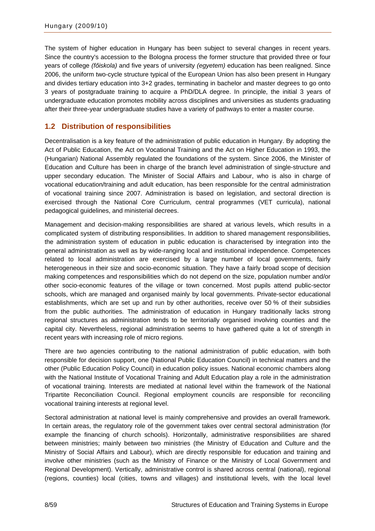<span id="page-9-0"></span>The system of higher education in Hungary has been subject to several changes in recent years. Since the country's accession to the Bologna process the former structure that provided three or four years of college *(főiskola)* and five years of university *(egyetem)* education has been realigned. Since 2006, the uniform two-cycle structure typical of the European Union has also been present in Hungary and divides tertiary education into 3+2 grades, terminating in bachelor and master degrees to go onto 3 years of postgraduate training to acquire a PhD/DLA degree. In principle, the initial 3 years of undergraduate education promotes mobility across disciplines and universities as students graduating after their three-year undergraduate studies have a variety of pathways to enter a master course.

### **1.2 Distribution of responsibilities**

Decentralisation is a key feature of the administration of public education in Hungary. By adopting the Act of Public Education, the Act on Vocational Training and the Act on Higher Education in 1993, the (Hungarian) National Assembly regulated the foundations of the system. Since 2006, the Minister of Education and Culture has been in charge of the branch level administration of single-structure and upper secondary education. The Minister of Social Affairs and Labour, who is also in charge of vocational education/training and adult education, has been responsible for the central administration of vocational training since 2007. Administration is based on legislation, and sectoral direction is exercised through the National Core Curriculum, central programmes (VET curricula), national pedagogical guidelines, and ministerial decrees.

Management and decision-making responsibilities are shared at various levels, which results in a complicated system of distributing responsibilities. In addition to shared management responsibilities, the administration system of education in public education is characterised by integration into the general administration as well as by wide-ranging local and institutional independence. Competences related to local administration are exercised by a large number of local governments, fairly heterogeneous in their size and socio-economic situation. They have a fairly broad scope of decision making competences and responsibilities which do not depend on the size, population number and/or other socio-economic features of the village or town concerned. Most pupils attend public-sector schools, which are managed and organised mainly by local governments. Private-sector educational establishments, which are set up and run by other authorities, receive over 50 % of their subsidies from the public authorities. The administration of education in Hungary traditionally lacks strong regional structures as administration tends to be territorially organised involving counties and the capital city. Nevertheless, regional administration seems to have gathered quite a lot of strength in recent years with increasing role of micro regions.

There are two agencies contributing to the national administration of public education, with both responsible for decision support, one (National Public Education Council) in technical matters and the other (Public Education Policy Council) in education policy issues. National economic chambers along with the National Institute of Vocational Training and Adult Education play a role in the administration of vocational training. Interests are mediated at national level within the framework of the National Tripartite Reconciliation Council. Regional employment councils are responsible for reconciling vocational training interests at regional level.

Sectoral administration at national level is mainly comprehensive and provides an overall framework. In certain areas, the regulatory role of the government takes over central sectoral administration (for example the financing of church schools). Horizontally, administrative responsibilities are shared between ministries; mainly between two ministries (the Ministry of Education and Culture and the Ministry of Social Affairs and Labour), which are directly responsible for education and training and involve other ministries (such as the Ministry of Finance or the Ministry of Local Government and Regional Development). Vertically, administrative control is shared across central (national), regional (regions, counties) local (cities, towns and villages) and institutional levels, with the local level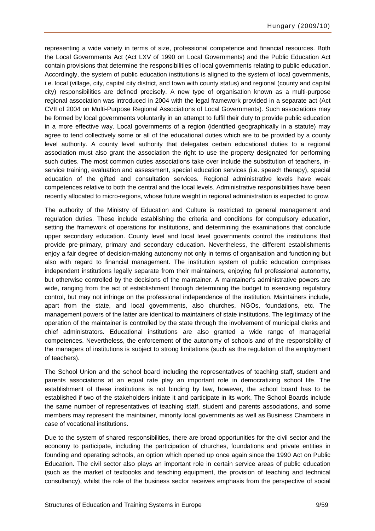representing a wide variety in terms of size, professional competence and financial resources. Both the Local Governments Act (Act LXV of 1990 on Local Governments) and the Public Education Act contain provisions that determine the responsibilities of local governments relating to public education. Accordingly, the system of public education institutions is aligned to the system of local governments, i.e. local (village, city, capital city district, and town with county status) and regional (county and capital city) responsibilities are defined precisely. A new type of organisation known as a multi-purpose regional association was introduced in 2004 with the legal framework provided in a separate act (Act CVII of 2004 on Multi-Purpose Regional Associations of Local Governments). Such associations may be formed by local governments voluntarily in an attempt to fulfil their duty to provide public education in a more effective way. Local governments of a region (identified geographically in a statute) may agree to tend collectively some or all of the educational duties which are to be provided by a county level authority. A county level authority that delegates certain educational duties to a regional association must also grant the association the right to use the property designated for performing such duties. The most common duties associations take over include the substitution of teachers, inservice training, evaluation and assessment, special education services (i.e. speech therapy), special education of the gifted and consultation services. Regional administrative levels have weak competences relative to both the central and the local levels. Administrative responsibilities have been recently allocated to micro-regions, whose future weight in regional administration is expected to grow.

The authority of the Ministry of Education and Culture is restricted to general management and regulation duties. These include establishing the criteria and conditions for compulsory education, setting the framework of operations for institutions, and determining the examinations that conclude upper secondary education. County level and local level governments control the institutions that provide pre-primary, primary and secondary education. Nevertheless, the different establishments enjoy a fair degree of decision-making autonomy not only in terms of organisation and functioning but also with regard to financial management. The institution system of public education comprises independent institutions legally separate from their maintainers, enjoying full professional autonomy, but otherwise controlled by the decisions of the maintainer. A maintainer's administrative powers are wide, ranging from the act of establishment through determining the budget to exercising regulatory control, but may not infringe on the professional independence of the institution. Maintainers include, apart from the state, and local governments, also churches, NGOs, foundations, etc. The management powers of the latter are identical to maintainers of state institutions. The legitimacy of the operation of the maintainer is controlled by the state through the involvement of municipal clerks and chief administrators. Educational institutions are also granted a wide range of managerial competences. Nevertheless, the enforcement of the autonomy of schools and of the responsibility of the managers of institutions is subject to strong limitations (such as the regulation of the employment of teachers).

The School Union and the school board including the representatives of teaching staff, student and parents associations at an equal rate play an important role in democratizing school life. The establishment of these institutions is not binding by law, however, the school board has to be established if two of the stakeholders initiate it and participate in its work, The School Boards include the same number of representatives of teaching staff, student and parents associations, and some members may represent the maintainer, minority local governments as well as Business Chambers in case of vocational institutions.

Due to the system of shared responsibilities, there are broad opportunities for the civil sector and the economy to participate, including the participation of churches, foundations and private entities in founding and operating schools, an option which opened up once again since the 1990 Act on Public Education. The civil sector also plays an important role in certain service areas of public education (such as the market of textbooks and teaching equipment, the provision of teaching and technical consultancy), whilst the role of the business sector receives emphasis from the perspective of social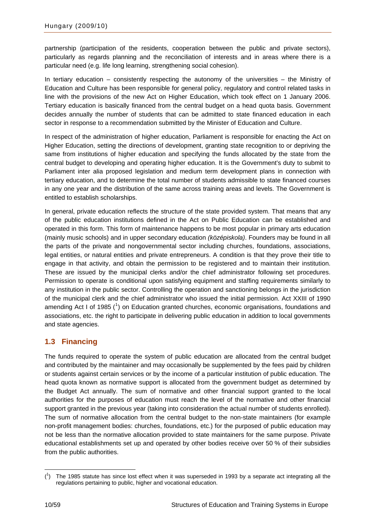<span id="page-11-0"></span>partnership (participation of the residents, cooperation between the public and private sectors), particularly as regards planning and the reconciliation of interests and in areas where there is a particular need (e.g. life long learning, strengthening social cohesion).

In tertiary education – consistently respecting the autonomy of the universities – the Ministry of Education and Culture has been responsible for general policy, regulatory and control related tasks in line with the provisions of the new Act on Higher Education, which took effect on 1 January 2006. Tertiary education is basically financed from the central budget on a head quota basis. Government decides annually the number of students that can be admitted to state financed education in each sector in response to a recommendation submitted by the Minister of Education and Culture.

In respect of the administration of higher education, Parliament is responsible for enacting the Act on Higher Education, setting the directions of development, granting state recognition to or depriving the same from institutions of higher education and specifying the funds allocated by the state from the central budget to developing and operating higher education. It is the Government's duty to submit to Parliament inter alia proposed legislation and medium term development plans in connection with tertiary education, and to determine the total number of students admissible to state financed courses in any one year and the distribution of the same across training areas and levels. The Government is entitled to establish scholarships.

In general, private education reflects the structure of the state provided system. That means that any of the public education institutions defined in the Act on Public Education can be established and operated in this form. This form of maintenance happens to be most popular in primary arts education (mainly music schools) and in upper secondary education *(középiskola)*. Founders may be found in all the parts of the private and nongovernmental sector including churches, foundations, associations, legal entities, or natural entities and private entrepreneurs. A condition is that they prove their title to engage in that activity, and obtain the permission to be registered and to maintain their institution. These are issued by the municipal clerks and/or the chief administrator following set procedures. Permission to operate is conditional upon satisfying equipment and staffing requirements similarly to any institution in the public sector. Controlling the operation and sanctioning belongs in the jurisdiction of the municipal clerk and the chief administrator who issued the initial permission. Act XXIII of 1990 amending Act I of [1](#page-11-1)985 ( $^{1}$ ) on Education granted churches, economic organisations, foundations and associations, etc. the right to participate in delivering public education in addition to local governments and state agencies.

### **1.3 Financing**

The funds required to operate the system of public education are allocated from the central budget and contributed by the maintainer and may occasionally be supplemented by the fees paid by children or students against certain services or by the income of a particular institution of public education. The head quota known as normative support is allocated from the government budget as determined by the Budget Act annually. The sum of normative and other financial support granted to the local authorities for the purposes of education must reach the level of the normative and other financial support granted in the previous year (taking into consideration the actual number of students enrolled). The sum of normative allocation from the central budget to the non-state maintainers (for example non-profit management bodies: churches, foundations, etc.) for the purposed of public education may not be less than the normative allocation provided to state maintainers for the same purpose. Private educational establishments set up and operated by other bodies receive over 50 % of their subsidies from the public authorities.

<span id="page-11-1"></span> $\overline{a}$  $(1)$  The 1985 statute has since lost effect when it was superseded in 1993 by a separate act integrating all the regulations pertaining to public, higher and vocational education.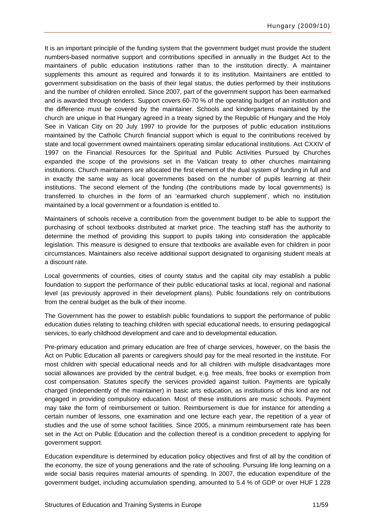It is an important principle of the funding system that the government budget must provide the student numbers-based normative support and contributions specified in annually in the Budget Act to the maintainers of public education institutions rather than to the institution directly. A maintainer supplements this amount as required and forwards it to its institution. Maintainers are entitled to government subsidisation on the basis of their legal status, the duties performed by their institutions and the number of children enrolled. Since 2007, part of the government support has been earmarked and is awarded through tenders. Support covers 60-70 % of the operating budget of an institution and the difference must be covered by the maintainer. Schools and kindergartens maintained by the church are unique in that Hungary agreed in a treaty signed by the Republic of Hungary and the Holy See in Vatican City on 20 July 1997 to provide for the purposes of public education institutions maintained by the Catholic Church financial support which is equal to the contributions received by state and local government owned maintainers operating similar educational institutions. Act CXXIV of 1997 on the Financial Resources for the Spiritual and Public Activities Pursued by Churches expanded the scope of the provisions set in the Vatican treaty to other churches maintaining institutions. Church maintainers are allocated the first element of the dual system of funding in full and in exactly the same way as local governments based on the number of pupils learning at their institutions. The second element of the funding (the contributions made by local governments) is transferred to churches in the form of an 'earmarked church supplement', which no institution maintained by a local government or a foundation is entitled to.

Maintainers of schools receive a contribution from the government budget to be able to support the purchasing of school textbooks distributed at market price. The teaching staff has the authority to determine the method of providing this support to pupils taking into consideration the applicable legislation. This measure is designed to ensure that textbooks are available even for children in poor circumstances. Maintainers also receive additional support designated to organising student meals at a discount rate.

Local governments of counties, cities of county status and the capital city may establish a public foundation to support the performance of their public educational tasks at local, regional and national level (as previously approved in their development plans). Public foundations rely on contributions from the central budget as the bulk of their income.

The Government has the power to establish public foundations to support the performance of public education duties relating to teaching children with special educational needs, to ensuring pedagogical services, to early childhood development and care and to developmental education.

Pre-primary education and primary education are free of charge services, however, on the basis the Act on Public Education all parents or caregivers should pay for the meal resorted in the institute. For most children with special educational needs and for all children with multiple disadvantages more social allowances are provided by the central budget, e.g. free meals, free books or exemption from cost compensation. Statutes specify the services provided against tuition. Payments are typically charged (independently of the maintainer) in basic arts education, as institutions of this kind are not engaged in providing compulsory education. Most of these institutions are music schools. Payment may take the form of reimbursement or tuition. Reimbursement is due for instance for attending a certain number of lessons, one examination and one lecture each year, the repetition of a year of studies and the use of some school facilities. Since 2005, a minimum reimbursement rate has been set in the Act on Public Education and the collection thereof is a condition precedent to applying for government support.

Education expenditure is determined by education policy objectives and first of all by the condition of the economy, the size of young generations and the rate of schooling. Pursuing life long learning on a wide social basis requires material amounts of spending. In 2007, the education expenditure of the government budget, including accumulation spending, amounted to 5.4 % of GDP or over HUF 1 228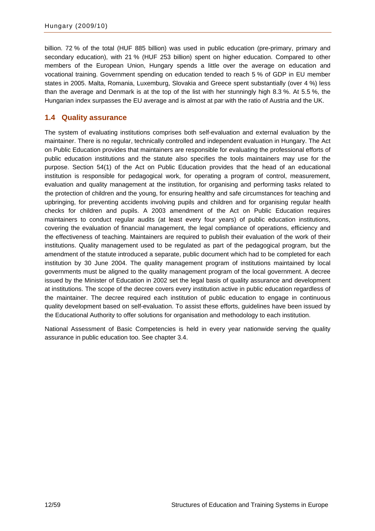<span id="page-13-0"></span>billion. 72 % of the total (HUF 885 billion) was used in public education (pre-primary, primary and secondary education), with 21 % (HUF 253 billion) spent on higher education. Compared to other members of the European Union, Hungary spends a little over the average on education and vocational training. Government spending on education tended to reach 5 % of GDP in EU member states in 2005. Malta, Romania, Luxemburg, Slovakia and Greece spent substantially (over 4 %) less than the average and Denmark is at the top of the list with her stunningly high 8.3 %. At 5.5 %, the Hungarian index surpasses the EU average and is almost at par with the ratio of Austria and the UK.

### **1.4 Quality assurance**

The system of evaluating institutions comprises both self-evaluation and external evaluation by the maintainer. There is no regular, technically controlled and independent evaluation in Hungary. The Act on Public Education provides that maintainers are responsible for evaluating the professional efforts of public education institutions and the statute also specifies the tools maintainers may use for the purpose. Section 54(1) of the Act on Public Education provides that the head of an educational institution is responsible for pedagogical work, for operating a program of control, measurement, evaluation and quality management at the institution, for organising and performing tasks related to the protection of children and the young, for ensuring healthy and safe circumstances for teaching and upbringing, for preventing accidents involving pupils and children and for organising regular health checks for children and pupils. A 2003 amendment of the Act on Public Education requires maintainers to conduct regular audits (at least every four years) of public education institutions, covering the evaluation of financial management, the legal compliance of operations, efficiency and the effectiveness of teaching. Maintainers are required to publish their evaluation of the work of their institutions. Quality management used to be regulated as part of the pedagogical program, but the amendment of the statute introduced a separate, public document which had to be completed for each institution by 30 June 2004. The quality management program of institutions maintained by local governments must be aligned to the quality management program of the local government. A decree issued by the Minister of Education in 2002 set the legal basis of quality assurance and development at institutions. The scope of the decree covers every institution active in public education regardless of the maintainer. The decree required each institution of public education to engage in continuous quality development based on self-evaluation. To assist these efforts, guidelines have been issued by the Educational Authority to offer solutions for organisation and methodology to each institution.

National Assessment of Basic Competencies is held in every year nationwide serving the quality assurance in public education too. See chapter 3.4.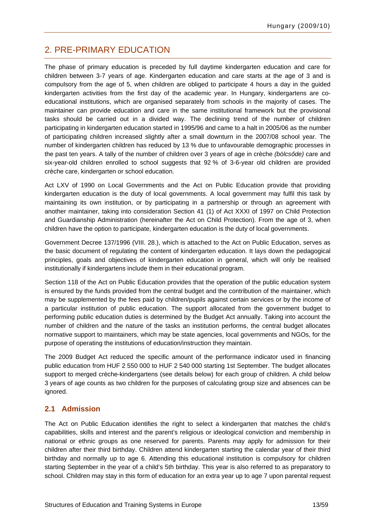## <span id="page-14-0"></span>2. PRE-PRIMARY EDUCATION

The phase of primary education is preceded by full daytime kindergarten education and care for children between 3-7 years of age. Kindergarten education and care starts at the age of 3 and is compulsory from the age of 5, when children are obliged to participate 4 hours a day in the guided kindergarten activities from the first day of the academic year. In Hungary, kindergartens are coeducational institutions, which are organised separately from schools in the majority of cases. The maintainer can provide education and care in the same institutional framework but the provisional tasks should be carried out in a divided way. The declining trend of the number of children participating in kindergarten education started in 1995/96 and came to a halt in 2005/06 as the number of participating children increased slightly after a small downturn in the 2007/08 school year. The number of kindergarten children has reduced by 13 % due to unfavourable demographic processes in the past ten years. A tally of the number of children over 3 years of age in crèche *(bölcsőde)* care and six-year-old children enrolled to school suggests that 92 % of 3-6-year old children are provided crèche care, kindergarten or school education.

Act LXV of 1990 on Local Governments and the Act on Public Education provide that providing kindergarten education is the duty of local governments. A local government may fulfil this task by maintaining its own institution, or by participating in a partnership or through an agreement with another maintainer, taking into consideration Section 41 (1) of Act XXXI of 1997 on Child Protection and Guardianship Administration (hereinafter the Act on Child Protection). From the age of 3, when children have the option to participate, kindergarten education is the duty of local governments.

Government Decree 137/1996 (VIII. 28.), which is attached to the Act on Public Education, serves as the basic document of regulating the content of kindergarten education. It lays down the pedagogical principles, goals and objectives of kindergarten education in general, which will only be realised institutionally if kindergartens include them in their educational program.

Section 118 of the Act on Public Education provides that the operation of the public education system is ensured by the funds provided from the central budget and the contribution of the maintainer, which may be supplemented by the fees paid by children/pupils against certain services or by the income of a particular institution of public education. The support allocated from the government budget to performing public education duties is determined by the Budget Act annually. Taking into account the number of children and the nature of the tasks an institution performs, the central budget allocates normative support to maintainers, which may be state agencies, local governments and NGOs, for the purpose of operating the institutions of education/instruction they maintain.

The 2009 Budget Act reduced the specific amount of the performance indicator used in financing public education from HUF 2 550 000 to HUF 2 540 000 starting 1st September. The budget allocates support to merged crèche-kindergartens (see details below) for each group of children. A child below 3 years of age counts as two children for the purposes of calculating group size and absences can be ignored.

### **2.1 Admission**

The Act on Public Education identifies the right to select a kindergarten that matches the child's capabilities, skills and interest and the parent's religious or ideological conviction and membership in national or ethnic groups as one reserved for parents. Parents may apply for admission for their children after their third birthday. Children attend kindergarten starting the calendar year of their third birthday and normally up to age 6. Attending this educational institution is compulsory for children starting September in the year of a child's 5th birthday. This year is also referred to as preparatory to school. Children may stay in this form of education for an extra year up to age 7 upon parental request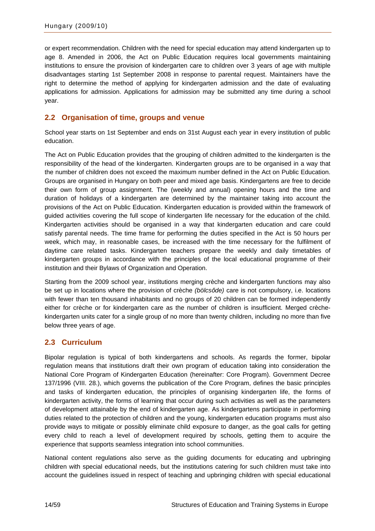<span id="page-15-0"></span>or expert recommendation. Children with the need for special education may attend kindergarten up to age 8. Amended in 2006, the Act on Public Education requires local governments maintaining institutions to ensure the provision of kindergarten care to children over 3 years of age with multiple disadvantages starting 1st September 2008 in response to parental request. Maintainers have the right to determine the method of applying for kindergarten admission and the date of evaluating applications for admission. Applications for admission may be submitted any time during a school year.

### **2.2 Organisation of time, groups and venue**

School year starts on 1st September and ends on 31st August each year in every institution of public education.

The Act on Public Education provides that the grouping of children admitted to the kindergarten is the responsibility of the head of the kindergarten. Kindergarten groups are to be organised in a way that the number of children does not exceed the maximum number defined in the Act on Public Education. Groups are organised in Hungary on both peer and mixed age basis. Kindergartens are free to decide their own form of group assignment. The (weekly and annual) opening hours and the time and duration of holidays of a kindergarten are determined by the maintainer taking into account the provisions of the Act on Public Education. Kindergarten education is provided within the framework of guided activities covering the full scope of kindergarten life necessary for the education of the child. Kindergarten activities should be organised in a way that kindergarten education and care could satisfy parental needs. The time frame for performing the duties specified in the Act is 50 hours per week, which may, in reasonable cases, be increased with the time necessary for the fulfilment of daytime care related tasks. Kindergarten teachers prepare the weekly and daily timetables of kindergarten groups in accordance with the principles of the local educational programme of their institution and their Bylaws of Organization and Operation.

Starting from the 2009 school year, institutions merging crèche and kindergarten functions may also be set up in locations where the provision of crèche *(bölcsőde)* care is not compulsory, i.e. locations with fewer than ten thousand inhabitants and no groups of 20 children can be formed independently either for crèche or for kindergarten care as the number of children is insufficient. Merged crèchekindergarten units cater for a single group of no more than twenty children, including no more than five below three years of age.

#### **2.3 Curriculum**

Bipolar regulation is typical of both kindergartens and schools. As regards the former, bipolar regulation means that institutions draft their own program of education taking into consideration the National Core Program of Kindergarten Education (hereinafter: Core Program). Government Decree 137/1996 (VIII. 28.), which governs the publication of the Core Program, defines the basic principles and tasks of kindergarten education, the principles of organising kindergarten life, the forms of kindergarten activity, the forms of learning that occur during such activities as well as the parameters of development attainable by the end of kindergarten age. As kindergartens participate in performing duties related to the protection of children and the young, kindergarten education programs must also provide ways to mitigate or possibly eliminate child exposure to danger, as the goal calls for getting every child to reach a level of development required by schools, getting them to acquire the experience that supports seamless integration into school communities.

National content regulations also serve as the guiding documents for educating and upbringing children with special educational needs, but the institutions catering for such children must take into account the guidelines issued in respect of teaching and upbringing children with special educational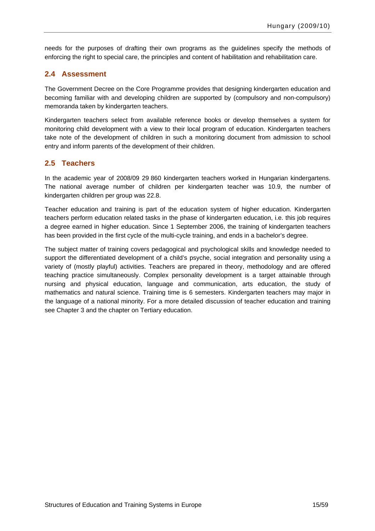<span id="page-16-0"></span>needs for the purposes of drafting their own programs as the guidelines specify the methods of enforcing the right to special care, the principles and content of habilitation and rehabilitation care.

### **2.4 Assessment**

The Government Decree on the Core Programme provides that designing kindergarten education and becoming familiar with and developing children are supported by (compulsory and non-compulsory) memoranda taken by kindergarten teachers.

Kindergarten teachers select from available reference books or develop themselves a system for monitoring child development with a view to their local program of education. Kindergarten teachers take note of the development of children in such a monitoring document from admission to school entry and inform parents of the development of their children.

#### **2.5 Teachers**

In the academic year of 2008/09 29 860 kindergarten teachers worked in Hungarian kindergartens. The national average number of children per kindergarten teacher was 10.9, the number of kindergarten children per group was 22.8.

Teacher education and training is part of the education system of higher education. Kindergarten teachers perform education related tasks in the phase of kindergarten education, i.e. this job requires a degree earned in higher education. Since 1 September 2006, the training of kindergarten teachers has been provided in the first cycle of the multi-cycle training, and ends in a bachelor's degree.

The subject matter of training covers pedagogical and psychological skills and knowledge needed to support the differentiated development of a child's psyche, social integration and personality using a variety of (mostly playful) activities. Teachers are prepared in theory, methodology and are offered teaching practice simultaneously. Complex personality development is a target attainable through nursing and physical education, language and communication, arts education, the study of mathematics and natural science. Training time is 6 semesters. Kindergarten teachers may major in the language of a national minority. For a more detailed discussion of teacher education and training see Chapter 3 and the chapter on Tertiary education.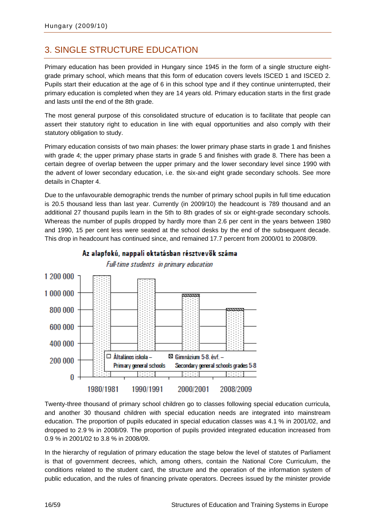## <span id="page-17-0"></span>3. SINGLE STRUCTURE EDUCATION

Primary education has been provided in Hungary since 1945 in the form of a single structure eightgrade primary school, which means that this form of education covers levels ISCED 1 and ISCED 2. Pupils start their education at the age of 6 in this school type and if they continue uninterrupted, their primary education is completed when they are 14 years old. Primary education starts in the first grade and lasts until the end of the 8th grade.

The most general purpose of this consolidated structure of education is to facilitate that people can assert their statutory right to education in line with equal opportunities and also comply with their statutory obligation to study.

Primary education consists of two main phases: the lower primary phase starts in grade 1 and finishes with grade 4; the upper primary phase starts in grade 5 and finishes with grade 8. There has been a certain degree of overlap between the upper primary and the lower secondary level since 1990 with the advent of lower secondary education, i.e. the six-and eight grade secondary schools. See more details in Chapter 4.

Due to the unfavourable demographic trends the number of primary school pupils in full time education is 20.5 thousand less than last year. Currently (in 2009/10) the headcount is 789 thousand and an additional 27 thousand pupils learn in the 5th to 8th grades of six or eight-grade secondary schools. Whereas the number of pupils dropped by hardly more than 2.6 per cent in the years between 1980 and 1990, 15 per cent less were seated at the school desks by the end of the subsequent decade. This drop in headcount has continued since, and remained 17.7 percent from 2000/01 to 2008/09.



### Az alapfokú, nappali oktatásban résztvevők száma

Full-time students in primary education

Twenty-three thousand of primary school children go to classes following special education curricula, and another 30 thousand children with special education needs are integrated into mainstream education. The proportion of pupils educated in special education classes was 4.1 % in 2001/02, and dropped to 2.9 % in 2008/09. The proportion of pupils provided integrated education increased from 0.9 % in 2001/02 to 3.8 % in 2008/09.

In the hierarchy of regulation of primary education the stage below the level of statutes of Parliament is that of government decrees, which, among others, contain the National Core Curriculum, the conditions related to the student card, the structure and the operation of the information system of public education, and the rules of financing private operators. Decrees issued by the minister provide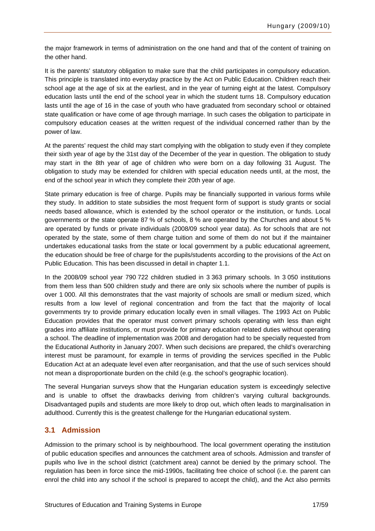<span id="page-18-0"></span>the major framework in terms of administration on the one hand and that of the content of training on the other hand.

It is the parents' statutory obligation to make sure that the child participates in compulsory education. This principle is translated into everyday practice by the Act on Public Education. Children reach their school age at the age of six at the earliest, and in the year of turning eight at the latest. Compulsory education lasts until the end of the school year in which the student turns 18. Compulsory education lasts until the age of 16 in the case of youth who have graduated from secondary school or obtained state qualification or have come of age through marriage. In such cases the obligation to participate in compulsory education ceases at the written request of the individual concerned rather than by the power of law.

At the parents' request the child may start complying with the obligation to study even if they complete their sixth year of age by the 31st day of the December of the year in question. The obligation to study may start in the 8th year of age of children who were born on a day following 31 August. The obligation to study may be extended for children with special education needs until, at the most, the end of the school year in which they complete their 20th year of age.

State primary education is free of charge. Pupils may be financially supported in various forms while they study. In addition to state subsidies the most frequent form of support is study grants or social needs based allowance, which is extended by the school operator or the institution, or funds. Local governments or the state operate 87 % of schools, 8 % are operated by the Churches and about 5 % are operated by funds or private individuals (2008/09 school year data). As for schools that are not operated by the state, some of them charge tuition and some of them do not but if the maintainer undertakes educational tasks from the state or local government by a public educational agreement, the education should be free of charge for the pupils/students according to the provisions of the Act on Public Education. This has been discussed in detail in chapter 1.1.

In the 2008/09 school year 790 722 children studied in 3 363 primary schools. In 3 050 institutions from them less than 500 children study and there are only six schools where the number of pupils is over 1 000. All this demonstrates that the vast majority of schools are small or medium sized, which results from a low level of regional concentration and from the fact that the majority of local governments try to provide primary education locally even in small villages. The 1993 Act on Public Education provides that the operator must convert primary schools operating with less than eight grades into affiliate institutions, or must provide for primary education related duties without operating a school. The deadline of implementation was 2008 and derogation had to be specially requested from the Educational Authority in January 2007. When such decisions are prepared, the child's overarching interest must be paramount, for example in terms of providing the services specified in the Public Education Act at an adequate level even after reorganisation, and that the use of such services should not mean a disproportionate burden on the child (e.g. the school's geographic location).

The several Hungarian surveys show that the Hungarian education system is exceedingly selective and is unable to offset the drawbacks deriving from children's varying cultural backgrounds. Disadvantaged pupils and students are more likely to drop out, which often leads to marginalisation in adulthood. Currently this is the greatest challenge for the Hungarian educational system.

### **3.1 Admission**

Admission to the primary school is by neighbourhood. The local government operating the institution of public education specifies and announces the catchment area of schools. Admission and transfer of pupils who live in the school district (catchment area) cannot be denied by the primary school. The regulation has been in force since the mid-1990s, facilitating free choice of school (i.e. the parent can enrol the child into any school if the school is prepared to accept the child), and the Act also permits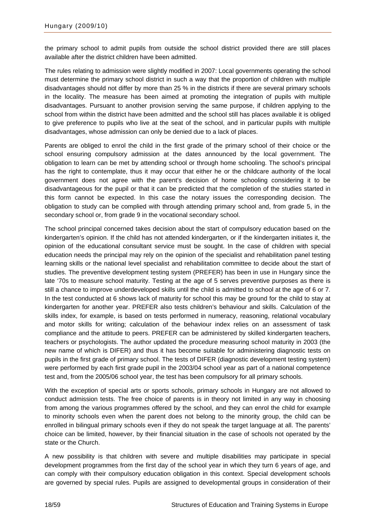the primary school to admit pupils from outside the school district provided there are still places available after the district children have been admitted.

The rules relating to admission were slightly modified in 2007: Local governments operating the school must determine the primary school district in such a way that the proportion of children with multiple disadvantages should not differ by more than 25 % in the districts if there are several primary schools in the locality. The measure has been aimed at promoting the integration of pupils with multiple disadvantages. Pursuant to another provision serving the same purpose, if children applying to the school from within the district have been admitted and the school still has places available it is obliged to give preference to pupils who live at the seat of the school, and in particular pupils with multiple disadvantages, whose admission can only be denied due to a lack of places.

Parents are obliged to enrol the child in the first grade of the primary school of their choice or the school ensuring compulsory admission at the dates announced by the local government. The obligation to learn can be met by attending school or through home schooling. The school's principal has the right to contemplate, thus it may occur that either he or the childcare authority of the local government does not agree with the parent's decision of home schooling considering it to be disadvantageous for the pupil or that it can be predicted that the completion of the studies started in this form cannot be expected. In this case the notary issues the corresponding decision. The obligation to study can be complied with through attending primary school and, from grade 5, in the secondary school or, from grade 9 in the vocational secondary school.

The school principal concerned takes decision about the start of compulsory education based on the kindergarten's opinion. If the child has not attended kindergarten, or if the kindergarten initiates it, the opinion of the educational consultant service must be sought. In the case of children with special education needs the principal may rely on the opinion of the specialist and rehabilitation panel testing learning skills or the national level specialist and rehabilitation committee to decide about the start of studies. The preventive development testing system (PREFER) has been in use in Hungary since the late '70s to measure school maturity. Testing at the age of 5 serves preventive purposes as there is still a chance to improve underdeveloped skills until the child is admitted to school at the age of 6 or 7. In the test conducted at 6 shows lack of maturity for school this may be ground for the child to stay at kindergarten for another year. PREFER also tests children's behaviour and skills. Calculation of the skills index, for example, is based on tests performed in numeracy, reasoning, relational vocabulary and motor skills for writing; calculation of the behaviour index relies on an assessment of task compliance and the attitude to peers. PREFER can be administered by skilled kindergarten teachers, teachers or psychologists. The author updated the procedure measuring school maturity in 2003 (the new name of which is DIFER) and thus it has become suitable for administering diagnostic tests on pupils in the first grade of primary school. The tests of DIFER (diagnostic development testing system) were performed by each first grade pupil in the 2003/04 school year as part of a national competence test and, from the 2005/06 school year, the test has been compulsory for all primary schools.

With the exception of special arts or sports schools, primary schools in Hungary are not allowed to conduct admission tests. The free choice of parents is in theory not limited in any way in choosing from among the various programmes offered by the school, and they can enrol the child for example to minority schools even when the parent does not belong to the minority group, the child can be enrolled in bilingual primary schools even if they do not speak the target language at all. The parents' choice can be limited, however, by their financial situation in the case of schools not operated by the state or the Church.

A new possibility is that children with severe and multiple disabilities may participate in special development programmes from the first day of the school year in which they turn 6 years of age, and can comply with their compulsory education obligation in this context. Special development schools are governed by special rules. Pupils are assigned to developmental groups in consideration of their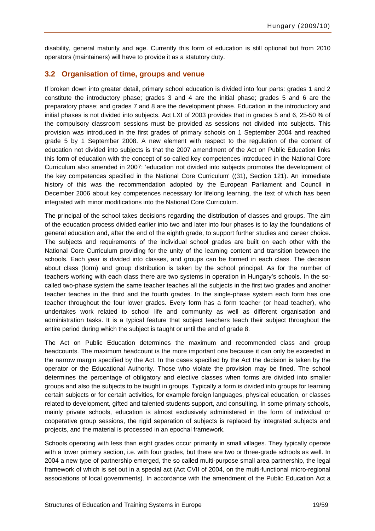<span id="page-20-0"></span>disability, general maturity and age. Currently this form of education is still optional but from 2010 operators (maintainers) will have to provide it as a statutory duty.

### **3.2 Organisation of time, groups and venue**

If broken down into greater detail, primary school education is divided into four parts: grades 1 and 2 constitute the introductory phase; grades 3 and 4 are the initial phase; grades 5 and 6 are the preparatory phase; and grades 7 and 8 are the development phase. Education in the introductory and initial phases is not divided into subjects. Act LXI of 2003 provides that in grades 5 and 6, 25-50 % of the compulsory classroom sessions must be provided as sessions not divided into subjects. This provision was introduced in the first grades of primary schools on 1 September 2004 and reached grade 5 by 1 September 2008. A new element with respect to the regulation of the content of education not divided into subjects is that the 2007 amendment of the Act on Public Education links this form of education with the concept of so-called key competences introduced in the National Core Curriculum also amended in 2007: 'education not divided into subjects promotes the development of the key competences specified in the National Core Curriculum' ((31), Section 121). An immediate history of this was the recommendation adopted by the European Parliament and Council in December 2006 about key competences necessary for lifelong learning, the text of which has been integrated with minor modifications into the National Core Curriculum.

The principal of the school takes decisions regarding the distribution of classes and groups. The aim of the education process divided earlier into two and later into four phases is to lay the foundations of general education and, after the end of the eighth grade, to support further studies and career choice. The subjects and requirements of the individual school grades are built on each other with the National Core Curriculum providing for the unity of the learning content and transition between the schools. Each year is divided into classes, and groups can be formed in each class. The decision about class (form) and group distribution is taken by the school principal. As for the number of teachers working with each class there are two systems in operation in Hungary's schools. In the socalled two-phase system the same teacher teaches all the subjects in the first two grades and another teacher teaches in the third and the fourth grades. In the single-phase system each form has one teacher throughout the four lower grades. Every form has a form teacher (or head teacher), who undertakes work related to school life and community as well as different organisation and administration tasks. It is a typical feature that subject teachers teach their subject throughout the entire period during which the subject is taught or until the end of grade 8.

The Act on Public Education determines the maximum and recommended class and group headcounts. The maximum headcount is the more important one because it can only be exceeded in the narrow margin specified by the Act. In the cases specified by the Act the decision is taken by the operator or the Educational Authority. Those who violate the provision may be fined. The school determines the percentage of obligatory and elective classes when forms are divided into smaller groups and also the subjects to be taught in groups. Typically a form is divided into groups for learning certain subjects or for certain activities, for example foreign languages, physical education, or classes related to development, gifted and talented students support, and consulting. In some primary schools, mainly private schools, education is almost exclusively administered in the form of individual or cooperative group sessions, the rigid separation of subjects is replaced by integrated subjects and projects, and the material is processed in an epochal framework.

Schools operating with less than eight grades occur primarily in small villages. They typically operate with a lower primary section, i.e. with four grades, but there are two or three-grade schools as well. In 2004 a new type of partnership emerged, the so called multi-purpose small area partnership, the legal framework of which is set out in a special act (Act CVII of 2004, on the multi-functional micro-regional associations of local governments). In accordance with the amendment of the Public Education Act a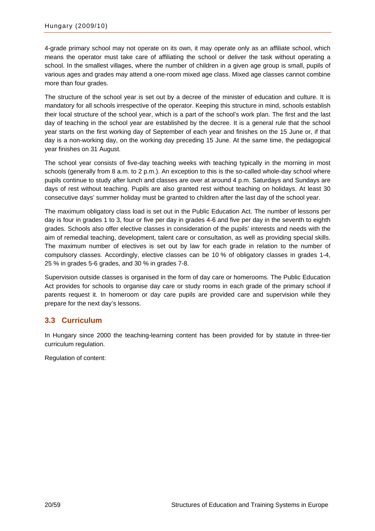<span id="page-21-0"></span>4-grade primary school may not operate on its own, it may operate only as an affiliate school, which means the operator must take care of affiliating the school or deliver the task without operating a school. In the smallest villages, where the number of children in a given age group is small, pupils of various ages and grades may attend a one-room mixed age class. Mixed age classes cannot combine more than four grades.

The structure of the school year is set out by a decree of the minister of education and culture. It is mandatory for all schools irrespective of the operator. Keeping this structure in mind, schools establish their local structure of the school year, which is a part of the school's work plan. The first and the last day of teaching in the school year are established by the decree. It is a general rule that the school year starts on the first working day of September of each year and finishes on the 15 June or, if that day is a non-working day, on the working day preceding 15 June. At the same time, the pedagogical year finishes on 31 August.

The school year consists of five-day teaching weeks with teaching typically in the morning in most schools (generally from 8 a.m. to 2 p.m.). An exception to this is the so-called whole-day school where pupils continue to study after lunch and classes are over at around 4 p.m. Saturdays and Sundays are days of rest without teaching. Pupils are also granted rest without teaching on holidays. At least 30 consecutive days' summer holiday must be granted to children after the last day of the school year.

The maximum obligatory class load is set out in the Public Education Act. The number of lessons per day is four in grades 1 to 3, four or five per day in grades 4-6 and five per day in the seventh to eighth grades. Schools also offer elective classes in consideration of the pupils' interests and needs with the aim of remedial teaching, development, talent care or consultation, as well as providing special skills. The maximum number of electives is set out by law for each grade in relation to the number of compulsory classes. Accordingly, elective classes can be 10 % of obligatory classes in grades 1-4, 25 % in grades 5-6 grades, and 30 % in grades 7-8.

Supervision outside classes is organised in the form of day care or homerooms. The Public Education Act provides for schools to organise day care or study rooms in each grade of the primary school if parents request it. In homeroom or day care pupils are provided care and supervision while they prepare for the next day's lessons.

### **3.3 Curriculum**

In Hungary since 2000 the teaching-learning content has been provided for by statute in three-tier curriculum regulation.

Regulation of content: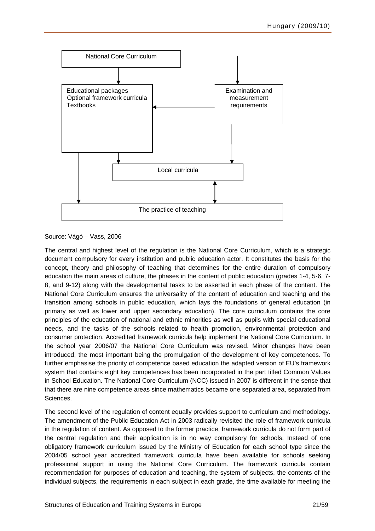

Source: Vágó – Vass, 2006

The central and highest level of the regulation is the National Core Curriculum, which is a strategic document compulsory for every institution and public education actor. It constitutes the basis for the concept, theory and philosophy of teaching that determines for the entire duration of compulsory education the main areas of culture, the phases in the content of public education (grades 1-4, 5-6, 7- 8, and 9-12) along with the developmental tasks to be asserted in each phase of the content. The National Core Curriculum ensures the universality of the content of education and teaching and the transition among schools in public education, which lays the foundations of general education (in primary as well as lower and upper secondary education). The core curriculum contains the core principles of the education of national and ethnic minorities as well as pupils with special educational needs, and the tasks of the schools related to health promotion, environmental protection and consumer protection. Accredited framework curricula help implement the National Core Curriculum. In the school year 2006/07 the National Core Curriculum was revised. Minor changes have been introduced, the most important being the promulgation of the development of key competences. To further emphasise the priority of competence based education the adapted version of EU's framework system that contains eight key competences has been incorporated in the part titled Common Values in School Education. The National Core Curriculum (NCC) issued in 2007 is different in the sense that that there are nine competence areas since mathematics became one separated area, separated from Sciences.

The second level of the regulation of content equally provides support to curriculum and methodology. The amendment of the Public Education Act in 2003 radically revisited the role of framework curricula in the regulation of content. As opposed to the former practice, framework curricula do not form part of the central regulation and their application is in no way compulsory for schools. Instead of one obligatory framework curriculum issued by the Ministry of Education for each school type since the 2004/05 school year accredited framework curricula have been available for schools seeking professional support in using the National Core Curriculum. The framework curricula contain recommendation for purposes of education and teaching, the system of subjects, the contents of the individual subjects, the requirements in each subject in each grade, the time available for meeting the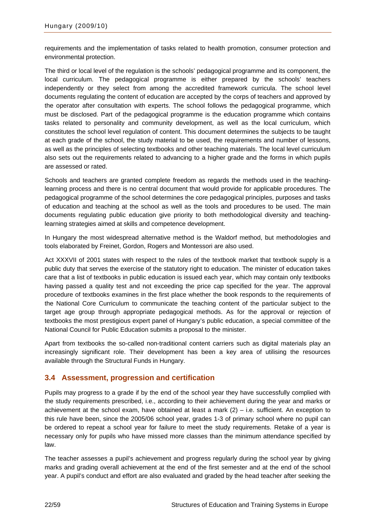<span id="page-23-0"></span>requirements and the implementation of tasks related to health promotion, consumer protection and environmental protection.

The third or local level of the regulation is the schools' pedagogical programme and its component, the local curriculum. The pedagogical programme is either prepared by the schools' teachers independently or they select from among the accredited framework curricula. The school level documents regulating the content of education are accepted by the corps of teachers and approved by the operator after consultation with experts. The school follows the pedagogical programme, which must be disclosed. Part of the pedagogical programme is the education programme which contains tasks related to personality and community development, as well as the local curriculum, which constitutes the school level regulation of content. This document determines the subjects to be taught at each grade of the school, the study material to be used, the requirements and number of lessons, as well as the principles of selecting textbooks and other teaching materials. The local level curriculum also sets out the requirements related to advancing to a higher grade and the forms in which pupils are assessed or rated.

Schools and teachers are granted complete freedom as regards the methods used in the teachinglearning process and there is no central document that would provide for applicable procedures. The pedagogical programme of the school determines the core pedagogical principles, purposes and tasks of education and teaching at the school as well as the tools and procedures to be used. The main documents regulating public education give priority to both methodological diversity and teachinglearning strategies aimed at skills and competence development.

In Hungary the most widespread alternative method is the Waldorf method, but methodologies and tools elaborated by Freinet, Gordon, Rogers and Montessori are also used.

Act XXXVII of 2001 states with respect to the rules of the textbook market that textbook supply is a public duty that serves the exercise of the statutory right to education. The minister of education takes care that a list of textbooks in public education is issued each year, which may contain only textbooks having passed a quality test and not exceeding the price cap specified for the year. The approval procedure of textbooks examines in the first place whether the book responds to the requirements of the National Core Curriculum to communicate the teaching content of the particular subject to the target age group through appropriate pedagogical methods. As for the approval or rejection of textbooks the most prestigious expert panel of Hungary's public education, a special committee of the National Council for Public Education submits a proposal to the minister.

Apart from textbooks the so-called non-traditional content carriers such as digital materials play an increasingly significant role. Their development has been a key area of utilising the resources available through the Structural Funds in Hungary.

### **3.4 Assessment, progression and certification**

Pupils may progress to a grade if by the end of the school year they have successfully complied with the study requirements prescribed, i.e., according to their achievement during the year and marks or achievement at the school exam, have obtained at least a mark  $(2)$  – i.e. sufficient. An exception to this rule have been, since the 2005/06 school year, grades 1-3 of primary school where no pupil can be ordered to repeat a school year for failure to meet the study requirements. Retake of a year is necessary only for pupils who have missed more classes than the minimum attendance specified by law.

The teacher assesses a pupil's achievement and progress regularly during the school year by giving marks and grading overall achievement at the end of the first semester and at the end of the school year. A pupil's conduct and effort are also evaluated and graded by the head teacher after seeking the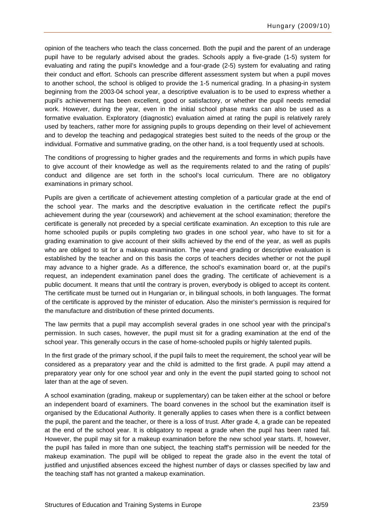opinion of the teachers who teach the class concerned. Both the pupil and the parent of an underage pupil have to be regularly advised about the grades. Schools apply a five-grade (1-5) system for evaluating and rating the pupil's knowledge and a four-grade (2-5) system for evaluating and rating their conduct and effort. Schools can prescribe different assessment system but when a pupil moves to another school, the school is obliged to provide the 1-5 numerical grading. In a phasing-in system beginning from the 2003-04 school year, a descriptive evaluation is to be used to express whether a pupil's achievement has been excellent, good or satisfactory, or whether the pupil needs remedial work. However, during the year, even in the initial school phase marks can also be used as a formative evaluation. Exploratory (diagnostic) evaluation aimed at rating the pupil is relatively rarely used by teachers, rather more for assigning pupils to groups depending on their level of achievement and to develop the teaching and pedagogical strategies best suited to the needs of the group or the individual. Formative and summative grading, on the other hand, is a tool frequently used at schools.

The conditions of progressing to higher grades and the requirements and forms in which pupils have to give account of their knowledge as well as the requirements related to and the rating of pupils' conduct and diligence are set forth in the school's local curriculum. There are no obligatory examinations in primary school.

Pupils are given a certificate of achievement attesting completion of a particular grade at the end of the school year. The marks and the descriptive evaluation in the certificate reflect the pupil's achievement during the year (coursework) and achievement at the school examination; therefore the certificate is generally not preceded by a special certificate examination. An exception to this rule are home schooled pupils or pupils completing two grades in one school year, who have to sit for a grading examination to give account of their skills achieved by the end of the year, as well as pupils who are obliged to sit for a makeup examination. The year-end grading or descriptive evaluation is established by the teacher and on this basis the corps of teachers decides whether or not the pupil may advance to a higher grade. As a difference, the school's examination board or, at the pupil's request, an independent examination panel does the grading. The certificate of achievement is a public document. It means that until the contrary is proven, everybody is obliged to accept its content. The certificate must be turned out in Hungarian or, in bilingual schools, in both languages. The format of the certificate is approved by the minister of education. Also the minister's permission is required for the manufacture and distribution of these printed documents.

The law permits that a pupil may accomplish several grades in one school year with the principal's permission. In such cases, however, the pupil must sit for a grading examination at the end of the school year. This generally occurs in the case of home-schooled pupils or highly talented pupils.

In the first grade of the primary school, if the pupil fails to meet the requirement, the school year will be considered as a preparatory year and the child is admitted to the first grade. A pupil may attend a preparatory year only for one school year and only in the event the pupil started going to school not later than at the age of seven.

A school examination (grading, makeup or supplementary) can be taken either at the school or before an independent board of examiners. The board convenes in the school but the examination itself is organised by the Educational Authority. It generally applies to cases when there is a conflict between the pupil, the parent and the teacher, or there is a loss of trust. After grade 4, a grade can be repeated at the end of the school year. It is obligatory to repeat a grade when the pupil has been rated fail. However, the pupil may sit for a makeup examination before the new school year starts. If, however, the pupil has failed in more than one subject, the teaching staff's permission will be needed for the makeup examination. The pupil will be obliged to repeat the grade also in the event the total of justified and unjustified absences exceed the highest number of days or classes specified by law and the teaching staff has not granted a makeup examination.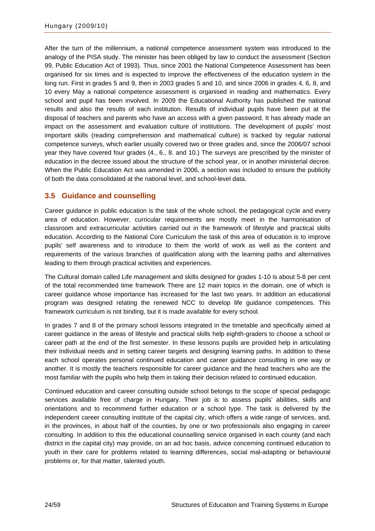<span id="page-25-0"></span>After the turn of the millennium, a national competence assessment system was introduced to the analogy of the PISA study. The minister has been obliged by law to conduct the assessment (Section 99, Public Education Act of 1993). Thus, since 2001 the National Competence Assessment has been organised for six times and is expected to improve the effectiveness of the education system in the long run. First in grades 5 and 9, then in 2003 grades 5 and 10, and since 2006 in grades 4, 6, 8, and 10 every May a national competence assessment is organised in reading and mathematics. Every school and pupil has been involved. In 2009 the Educational Authority has published the national results and also the results of each institution. Results of individual pupils have been put at the disposal of teachers and parents who have an access with a given password. It has already made an impact on the assessment and evaluation culture of institutions. The development of pupils' most important skills (reading comprehension and mathematical culture) is tracked by regular national competence surveys, which earlier usually covered two or three grades and, since the 2006/07 school year they have covered four grades (4., 6., 8. and 10.) The surveys are prescribed by the minister of education in the decree issued about the structure of the school year, or in another ministerial decree. When the Public Education Act was amended in 2006, a section was included to ensure the publicity of both the data consolidated at the national level, and school-level data.

### **3.5 Guidance and counselling**

Career guidance in public education is the task of the whole school, the pedagogical cycle and every area of education. However, curricular requirements are mostly meet in the harmonisation of classroom and extracurricular activities carried out in the framework of lifestyle and practical skills education. According to the National Core Curriculum the task of this area of education is to improve pupils' self awareness and to introduce to them the world of work as well as the content and requirements of the various branches of qualification along with the learning paths and alternatives leading to them through practical activities and experiences.

The Cultural domain called Life management and skills designed for grades 1-10 is about 5-8 per cent of the total recommended time framework There are 12 main topics in the domain, one of which is career guidance whose importance has increased for the last two years. In addition an educational program was designed relating the renewed NCC to develop life guidance competences. This framework curriculum is not binding, but it is made available for every school.

In grades 7 and 8 of the primary school lessons integrated in the timetable and specifically aimed at career guidance in the areas of lifestyle and practical skills help eighth-graders to choose a school or career path at the end of the first semester. In these lessons pupils are provided help in articulating their individual needs and in setting career targets and designing learning paths. In addition to these each school operates personal continued education and career guidance consulting in one way or another. It is mostly the teachers responsible for career guidance and the head teachers who are the most familiar with the pupils who help them in taking their decision related to continued education.

Continued education and career consulting outside school belongs to the scope of special pedagogic services available free of charge in Hungary. Their job is to assess pupils' abilities, skills and orientations and to recommend further education or a school type. The task is delivered by the independent career consulting institute of the capital city, which offers a wide range of services, and, in the provinces, in about half of the counties, by one or two professionals also engaging in career consulting. In addition to this the educational counselling service organised in each county (and each district in the capital city) may provide, on an ad hoc basis, advice concerning continued education to youth in their care for problems related to learning differences, social mal-adapting or behavioural problems or, for that matter, talented youth.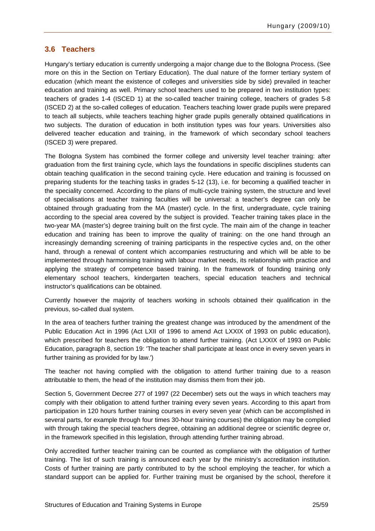### <span id="page-26-0"></span>**3.6 Teachers**

Hungary's tertiary education is currently undergoing a major change due to the Bologna Process. (See more on this in the Section on Tertiary Education). The dual nature of the former tertiary system of education (which meant the existence of colleges and universities side by side) prevailed in teacher education and training as well. Primary school teachers used to be prepared in two institution types: teachers of grades 1-4 (ISCED 1) at the so-called teacher training college, teachers of grades 5-8 (ISCED 2) at the so-called colleges of education. Teachers teaching lower grade pupils were prepared to teach all subjects, while teachers teaching higher grade pupils generally obtained qualifications in two subjects. The duration of education in both institution types was four years. Universities also delivered teacher education and training, in the framework of which secondary school teachers (ISCED 3) were prepared.

The Bologna System has combined the former college and university level teacher training: after graduation from the first training cycle, which lays the foundations in specific disciplines students can obtain teaching qualification in the second training cycle. Here education and training is focussed on preparing students for the teaching tasks in grades 5-12 (13), i.e. for becoming a qualified teacher in the speciality concerned. According to the plans of multi-cycle training system, the structure and level of specialisations at teacher training faculties will be universal: a teacher's degree can only be obtained through graduating from the MA (master) cycle. In the first, undergraduate, cycle training according to the special area covered by the subject is provided. Teacher training takes place in the two-year MA (master's) degree training built on the first cycle. The main aim of the change in teacher education and training has been to improve the quality of training: on the one hand through an increasingly demanding screening of training participants in the respective cycles and, on the other hand, through a renewal of content which accompanies restructuring and which will be able to be implemented through harmonising training with labour market needs, its relationship with practice and applying the strategy of competence based training. In the framework of founding training only elementary school teachers, kindergarten teachers, special education teachers and technical instructor's qualifications can be obtained.

Currently however the majority of teachers working in schools obtained their qualification in the previous, so-called dual system.

In the area of teachers further training the greatest change was introduced by the amendment of the Public Education Act in 1996 (Act LXII of 1996 to amend Act LXXIX of 1993 on public education), which prescribed for teachers the obligation to attend further training. (Act LXXIX of 1993 on Public Education, paragraph 8, section 19: 'The teacher shall participate at least once in every seven years in further training as provided for by law.')

The teacher not having complied with the obligation to attend further training due to a reason attributable to them, the head of the institution may dismiss them from their job.

Section 5, Government Decree 277 of 1997 (22 December) sets out the ways in which teachers may comply with their obligation to attend further training every seven years. According to this apart from participation in 120 hours further training courses in every seven year (which can be accomplished in several parts, for example through four times 30-hour training courses) the obligation may be complied with through taking the special teachers degree, obtaining an additional degree or scientific degree or, in the framework specified in this legislation, through attending further training abroad.

Only accredited further teacher training can be counted as compliance with the obligation of further training. The list of such training is announced each year by the ministry's accreditation institution. Costs of further training are partly contributed to by the school employing the teacher, for which a standard support can be applied for. Further training must be organised by the school, therefore it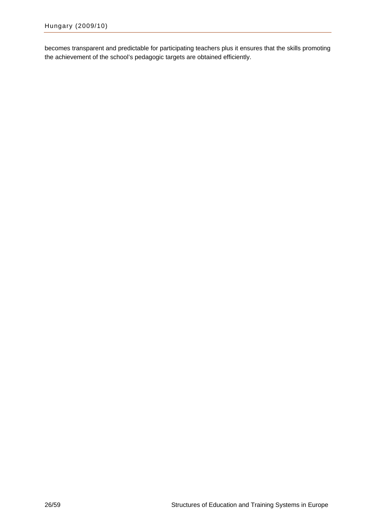becomes transparent and predictable for participating teachers plus it ensures that the skills promoting the achievement of the school's pedagogic targets are obtained efficiently.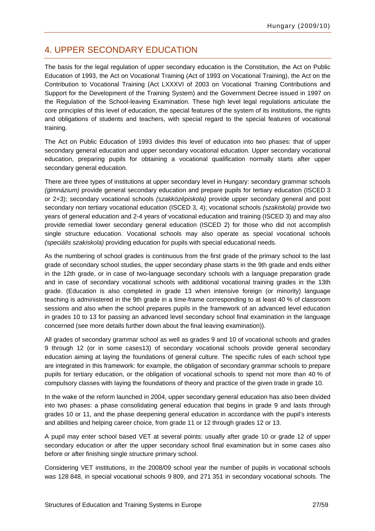## <span id="page-28-0"></span>4. UPPER SECONDARY EDUCATION

The basis for the legal regulation of upper secondary education is the Constitution, the Act on Public Education of 1993, the Act on Vocational Training (Act of 1993 on Vocational Training), the Act on the Contribution to Vocational Training (Act LXXXVI of 2003 on Vocational Training Contributions and Support for the Development of the Training System) and the Government Decree issued in 1997 on the Regulation of the School-leaving Examination. These high level legal regulations articulate the core principles of this level of education, the special features of the system of its institutions, the rights and obligations of students and teachers, with special regard to the special features of vocational training.

The Act on Public Education of 1993 divides this level of education into two phases: that of upper secondary general education and upper secondary vocational education. Upper secondary vocational education, preparing pupils for obtaining a vocational qualification normally starts after upper secondary general education.

There are three types of institutions at upper secondary level in Hungary: secondary grammar schools *(gimnázium)* provide general secondary education and prepare pupils for tertiary education (ISCED 3 or 2+3); secondary vocational schools *(szakközépiskola)* provide upper secondary general and post secondary non tertiary vocational education (ISCED 3, 4); vocational schools *(szakiskola)* provide two years of general education and 2-4 years of vocational education and training (ISCED 3) and may also provide remedial lower secondary general education (ISCED 2) for those who did not accomplish single structure education. Vocational schools may also operate as special vocational schools *(speciális szakiskola)* providing education for pupils with special educational needs.

As the numbering of school grades is continuous from the first grade of the primary school to the last grade of secondary school studies, the upper secondary phase starts in the 9th grade and ends either in the 12th grade, or in case of two-language secondary schools with a language preparation grade and in case of secondary vocational schools with additional vocational training grades in the 13th grade. (Education is also completed in grade 13 when intensive foreign (or minority) language teaching is administered in the 9th grade in a time-frame corresponding to at least 40 % of classroom sessions and also when the school prepares pupils in the framework of an advanced level education in grades 10 to 13 for passing an advanced level secondary school final examination in the language concerned (see more details further down about the final leaving examination)).

All grades of secondary grammar school as well as grades 9 and 10 of vocational schools and grades 9 through 12 (or in some cases13) of secondary vocational schools provide general secondary education aiming at laying the foundations of general culture. The specific rules of each school type are integrated in this framework: for example, the obligation of secondary grammar schools to prepare pupils for tertiary education, or the obligation of vocational schools to spend not more than 40 % of compulsory classes with laying the foundations of theory and practice of the given trade in grade 10.

In the wake of the reform launched in 2004, upper secondary general education has also been divided into two phases: a phase consolidating general education that begins in grade 9 and lasts through grades 10 or 11, and the phase deepening general education in accordance with the pupil's interests and abilities and helping career choice, from grade 11 or 12 through grades 12 or 13.

A pupil may enter school based VET at several points: usually after grade 10 or grade 12 of upper secondary education or after the upper secondary school final examination but in some cases also before or after finishing single structure primary school.

Considering VET institutions, in the 2008/09 school year the number of pupils in vocational schools was 128 848, in special vocational schools 9 809, and 271 351 in secondary vocational schools. The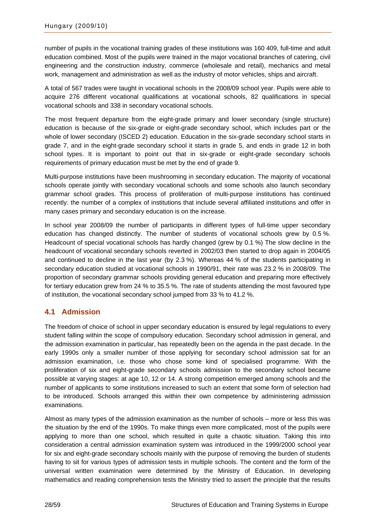<span id="page-29-0"></span>number of pupils in the vocational training grades of these institutions was 160 409, full-time and adult education combined. Most of the pupils were trained in the major vocational branches of catering, civil engineering and the construction industry, commerce (wholesale and retail), mechanics and metal work, management and administration as well as the industry of motor vehicles, ships and aircraft.

A total of 567 trades were taught in vocational schools in the 2008/09 school year. Pupils were able to acquire 276 different vocational qualifications at vocational schools, 82 qualifications in special vocational schools and 338 in secondary vocational schools.

The most frequent departure from the eight-grade primary and lower secondary (single structure) education is because of the six-grade or eight-grade secondary school, which includes part or the whole of lower secondary (ISCED 2) education. Education in the six-grade secondary school starts in grade 7, and in the eight-grade secondary school it starts in grade 5, and ends in grade 12 in both school types. It is important to point out that in six-grade or eight-grade secondary schools requirements of primary education must be met by the end of grade 9.

Multi-purpose institutions have been mushrooming in secondary education. The majority of vocational schools operate jointly with secondary vocational schools and some schools also launch secondary grammar school grades. This process of proliferation of multi-purpose institutions has continued recently: the number of a complex of institutions that include several affiliated institutions and offer in many cases primary and secondary education is on the increase.

In school year 2008/09 the number of participants in different types of full-time upper secondary education has changed distinctly. The number of students of vocational schools grew by 0.5 %. Headcount of special vocational schools has hardly changed (grew by 0.1 %) The slow decline in the headcount of vocational secondary schools reverted in 2002/03 then started to drop again in 2004/05 and continued to decline in the last year (by 2.3 %). Whereas 44 % of the students participating in secondary education studied at vocational schools in 1990/91, their rate was 23.2 % in 2008/09. The proportion of secondary grammar schools providing general education and preparing more effectively for tertiary education grew from 24 % to 35.5 %. The rate of students attending the most favoured type of institution, the vocational secondary school jumped from 33 % to 41.2 %.

### **4.1 Admission**

The freedom of choice of school in upper secondary education is ensured by legal regulations to every student falling within the scope of compulsory education. Secondary school admission in general, and the admission examination in particular, has repeatedly been on the agenda in the past decade. In the early 1990s only a smaller number of those applying for secondary school admission sat for an admission examination, i.e. those who chose some kind of specialised programme. With the proliferation of six and eight-grade secondary schools admission to the secondary school became possible at varying stages: at age 10, 12 or 14. A strong competition emerged among schools and the number of applicants to some institutions increased to such an extent that some form of selection had to be introduced. Schools arranged this within their own competence by administering admission examinations.

Almost as many types of the admission examination as the number of schools – more or less this was the situation by the end of the 1990s. To make things even more complicated, most of the pupils were applying to more than one school, which resulted in quite a chaotic situation. Taking this into consideration a central admission examination system was introduced in the 1999/2000 school year for six and eight-grade secondary schools mainly with the purpose of removing the burden of students having to sit for various types of admission tests in multiple schools. The content and the form of the universal written examination were determined by the Ministry of Education. In developing mathematics and reading comprehension tests the Ministry tried to assert the principle that the results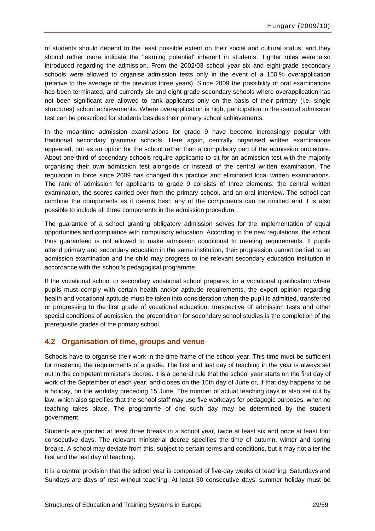<span id="page-30-0"></span>of students should depend to the least possible extent on their social and cultural status, and they should rather more indicate the 'learning potential' inherent in students. Tighter rules were also introduced regarding the admission. From the 2002/03 school year six and eight-grade secondary schools were allowed to organise admission tests only in the event of a 150 % overapplication (relative to the average of the previous three years). Since 2009 the possibility of oral examinations has been terminated, and currently six and eight-grade secondary schools where overapplication has not been significant are allowed to rank applicants only on the basis of their primary (i.e. single structures) school achievements. Where overapplication is high, participation in the central admission test can be prescribed for students besides their primary school achievements.

In the meantime admission examinations for grade 9 have become increasingly popular with traditional secondary grammar schools. Here again, centrally organised written examinations appeared, but as an option for the school rather than a compulsory part of the admission procedure. About one-third of secondary schools require applicants to sit for an admission test with the majority organising their own admission test alongside or instead of the central written examination. The regulation in force since 2009 has changed this practice and eliminated local written examinations. The rank of admission for applicants to grade 9 consists of three elements: the central written examination, the scores carried over from the primary school, and an oral interview. The school can combine the components as it deems best; any of the components can be omitted and it is also possible to include all three components in the admission procedure.

The guarantee of a school granting obligatory admission serves for the implementation of equal opportunities and compliance with compulsory education. According to the new regulations, the school thus guaranteed is not allowed to make admission conditional to meeting requirements. If pupils attend primary and secondary education in the same institution, their progression cannot be tied to an admission examination and the child may progress to the relevant secondary education institution in accordance with the school's pedagogical programme.

If the vocational school or secondary vocational school prepares for a vocational qualification where pupils must comply with certain health and/or aptitude requirements, the expert opinion regarding health and vocational aptitude must be taken into consideration when the pupil is admitted, transferred or progressing to the first grade of vocational education. Irrespective of admission tests and other special conditions of admission, the precondition for secondary school studies is the completion of the prerequisite grades of the primary school.

### **4.2 Organisation of time, groups and venue**

Schools have to organise their work in the time frame of the school year. This time must be sufficient for mastering the requirements of a grade. The first and last day of teaching in the year is always set out in the competent minister's decree. It is a general rule that the school year starts on the first day of work of the September of each year, and closes on the 15th day of June or, if that day happens to be a holiday, on the workday preceding 15 June. The number of actual teaching days is also set out by law, which also specifies that the school staff may use five workdays for pedagogic purposes, when no teaching takes place. The programme of one such day may be determined by the student government.

Students are granted at least three breaks in a school year, twice at least six and once at least four consecutive days. The relevant ministerial decree specifies the time of autumn, winter and spring breaks. A school may deviate from this, subject to certain terms and conditions, but it may not alter the first and the last day of teaching.

It is a central provision that the school year is composed of five-day weeks of teaching. Saturdays and Sundays are days of rest without teaching. At least 30 consecutive days' summer holiday must be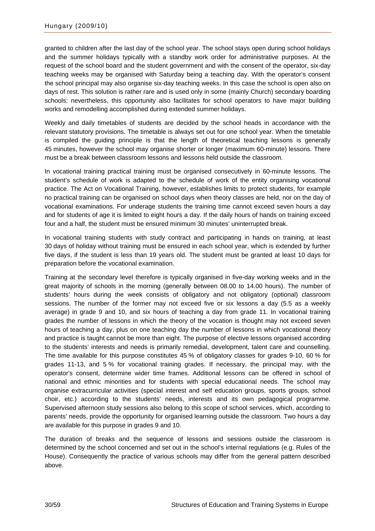granted to children after the last day of the school year. The school stays open during school holidays and the summer holidays typically with a standby work order for administrative purposes. At the request of the school board and the student government and with the consent of the operator, six-day teaching weeks may be organised with Saturday being a teaching day. With the operator's consent the school principal may also organise six-day teaching weeks. In this case the school is open also on days of rest. This solution is rather rare and is used only in some (mainly Church) secondary boarding schools; nevertheless, this opportunity also facilitates for school operators to have major building works and remodelling accomplished during extended summer holidays.

Weekly and daily timetables of students are decided by the school heads in accordance with the relevant statutory provisions. The timetable is always set out for one school year. When the timetable is compiled the guiding principle is that the length of theoretical teaching lessons is generally 45 minutes, however the school may organise shorter or longer (maximum 60-minute) lessons. There must be a break between classroom lessons and lessons held outside the classroom.

In vocational training practical training must be organised consecutively in 60-minute lessons. The student's schedule of work is adapted to the schedule of work of the entity organising vocational practice. The Act on Vocational Training, however, establishes limits to protect students, for example no practical training can be organised on school days when theory classes are held, nor on the day of vocational examinations. For underage students the training time cannot exceed seven hours a day and for students of age it is limited to eight hours a day. If the daily hours of hands on training exceed four and a half, the student must be ensured minimum 30 minutes' uninterrupted break.

In vocational training students with study contract and participating in hands on training, at least 30 days of holiday without training must be ensured in each school year, which is extended by further five days, if the student is less than 19 years old. The student must be granted at least 10 days for preparation before the vocational examination.

Training at the secondary level therefore is typically organised in five-day working weeks and in the great majority of schools in the morning (generally between 08.00 to 14.00 hours). The number of students' hours during the week consists of obligatory and not obligatory (optional) classroom sessions. The number of the former may not exceed five or six lessons a day (5.5 as a weekly average) in grade 9 and 10, and six hours of teaching a day from grade 11. In vocational training grades the number of lessons in which the theory of the vocation is thought may not exceed seven hours of teaching a day, plus on one teaching day the number of lessons in which vocational theory and practice is taught cannot be more than eight. The purpose of elective lessons organised according to the students' interests and needs is primarily remedial, development, talent care and counselling. The time available for this purpose constitutes 45 % of obligatory classes for grades 9-10, 60 % for grades 11-13, and 5 % for vocational training grades. If necessary, the principal may, with the operator's consent, determine wider time frames. Additional lessons can be offered in school of national and ethnic minorities and for students with special educational needs. The school may organise extracurricular activities (special interest and self education groups, sports groups, school choir, etc.) according to the students' needs, interests and its own pedagogical programme. Supervised afternoon study sessions also belong to this scope of school services, which, according to parents' needs, provide the opportunity for organised learning outside the classroom. Two hours a day are available for this purpose in grades 9 and 10.

The duration of breaks and the sequence of lessons and sessions outside the classroom is determined by the school concerned and set out in the school's internal regulations (e.g. Rules of the House). Consequently the practice of various schools may differ from the general pattern described above.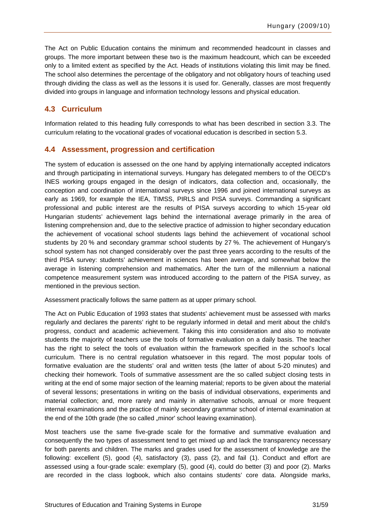<span id="page-32-0"></span>The Act on Public Education contains the minimum and recommended headcount in classes and groups. The more important between these two is the maximum headcount, which can be exceeded only to a limited extent as specified by the Act. Heads of institutions violating this limit may be fined. The school also determines the percentage of the obligatory and not obligatory hours of teaching used through dividing the class as well as the lessons it is used for. Generally, classes are most frequently divided into groups in language and information technology lessons and physical education.

### **4.3 Curriculum**

Information related to this heading fully corresponds to what has been described in section 3.3. The curriculum relating to the vocational grades of vocational education is described in section 5.3.

#### **4.4 Assessment, progression and certification**

The system of education is assessed on the one hand by applying internationally accepted indicators and through participating in international surveys. Hungary has delegated members to of the OECD's INES working groups engaged in the design of indicators, data collection and, occasionally, the conception and coordination of international surveys since 1996 and joined international surveys as early as 1969, for example the IEA, TIMSS, PIRLS and PISA surveys. Commanding a significant professional and public interest are the results of PISA surveys according to which 15-year old Hungarian students' achievement lags behind the international average primarily in the area of listening comprehension and, due to the selective practice of admission to higher secondary education the achievement of vocational school students lags behind the achievement of vocational school students by 20 % and secondary grammar school students by 27 %. The achievement of Hungary's school system has not changed considerably over the past three years according to the results of the third PISA survey: students' achievement in sciences has been average, and somewhat below the average in listening comprehension and mathematics. After the turn of the millennium a national competence measurement system was introduced according to the pattern of the PISA survey, as mentioned in the previous section.

Assessment practically follows the same pattern as at upper primary school.

The Act on Public Education of 1993 states that students' achievement must be assessed with marks regularly and declares the parents' right to be regularly informed in detail and merit about the child's progress, conduct and academic achievement. Taking this into consideration and also to motivate students the majority of teachers use the tools of formative evaluation on a daily basis. The teacher has the right to select the tools of evaluation within the framework specified in the school's local curriculum. There is no central regulation whatsoever in this regard. The most popular tools of formative evaluation are the students' oral and written tests (the latter of about 5-20 minutes) and checking their homework. Tools of summative assessment are the so called subject closing tests in writing at the end of some major section of the learning material; reports to be given about the material of several lessons; presentations in writing on the basis of individual observations, experiments and material collection; and, more rarely and mainly in alternative schools, annual or more frequent internal examinations and the practice of mainly secondary grammar school of internal examination at the end of the 10th grade (the so called "minor' school leaving examination).

Most teachers use the same five-grade scale for the formative and summative evaluation and consequently the two types of assessment tend to get mixed up and lack the transparency necessary for both parents and children. The marks and grades used for the assessment of knowledge are the following: excellent (5), good (4), satisfactory (3), pass (2), and fail (1). Conduct and effort are assessed using a four-grade scale: exemplary (5), good (4), could do better (3) and poor (2). Marks are recorded in the class logbook, which also contains students' core data. Alongside marks,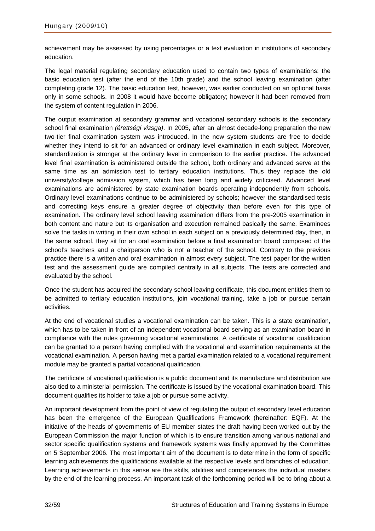achievement may be assessed by using percentages or a text evaluation in institutions of secondary education.

The legal material regulating secondary education used to contain two types of examinations: the basic education test (after the end of the 10th grade) and the school leaving examination (after completing grade 12). The basic education test, however, was earlier conducted on an optional basis only in some schools. In 2008 it would have become obligatory; however it had been removed from the system of content regulation in 2006.

The output examination at secondary grammar and vocational secondary schools is the secondary school final examination *(érettségi vizsga)*. In 2005, after an almost decade-long preparation the new two-tier final examination system was introduced. In the new system students are free to decide whether they intend to sit for an advanced or ordinary level examination in each subject. Moreover, standardization is stronger at the ordinary level in comparison to the earlier practice. The advanced level final examination is administered outside the school, both ordinary and advanced serve at the same time as an admission test to tertiary education institutions. Thus they replace the old university/college admission system, which has been long and widely criticised. Advanced level examinations are administered by state examination boards operating independently from schools. Ordinary level examinations continue to be administered by schools; however the standardised tests and correcting keys ensure a greater degree of objectivity than before even for this type of examination. The ordinary level school leaving examination differs from the pre-2005 examination in both content and nature but its organisation and execution remained basically the same. Examinees solve the tasks in writing in their own school in each subject on a previously determined day, then, in the same school, they sit for an oral examination before a final examination board composed of the school's teachers and a chairperson who is not a teacher of the school. Contrary to the previous practice there is a written and oral examination in almost every subject. The test paper for the written test and the assessment guide are compiled centrally in all subjects. The tests are corrected and evaluated by the school.

Once the student has acquired the secondary school leaving certificate, this document entitles them to be admitted to tertiary education institutions, join vocational training, take a job or pursue certain activities.

At the end of vocational studies a vocational examination can be taken. This is a state examination, which has to be taken in front of an independent vocational board serving as an examination board in compliance with the rules governing vocational examinations. A certificate of vocational qualification can be granted to a person having complied with the vocational and examination requirements at the vocational examination. A person having met a partial examination related to a vocational requirement module may be granted a partial vocational qualification.

The certificate of vocational qualification is a public document and its manufacture and distribution are also tied to a ministerial permission. The certificate is issued by the vocational examination board. This document qualifies its holder to take a job or pursue some activity.

An important development from the point of view of regulating the output of secondary level education has been the emergence of the European Qualifications Framework (hereinafter: EQF). At the initiative of the heads of governments of EU member states the draft having been worked out by the European Commission the major function of which is to ensure transition among various national and sector specific qualification systems and framework systems was finally approved by the Committee on 5 September 2006. The most important aim of the document is to determine in the form of specific learning achievements the qualifications available at the respective levels and branches of education. Learning achievements in this sense are the skills, abilities and competences the individual masters by the end of the learning process. An important task of the forthcoming period will be to bring about a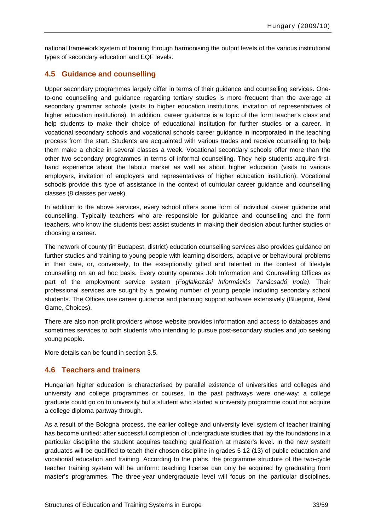<span id="page-34-0"></span>national framework system of training through harmonising the output levels of the various institutional types of secondary education and EQF levels.

### **4.5 Guidance and counselling**

Upper secondary programmes largely differ in terms of their guidance and counselling services. Oneto-one counselling and guidance regarding tertiary studies is more frequent than the average at secondary grammar schools (visits to higher education institutions, invitation of representatives of higher education institutions). In addition, career guidance is a topic of the form teacher's class and help students to make their choice of educational institution for further studies or a career. In vocational secondary schools and vocational schools career guidance in incorporated in the teaching process from the start. Students are acquainted with various trades and receive counselling to help them make a choice in several classes a week. Vocational secondary schools offer more than the other two secondary programmes in terms of informal counselling. They help students acquire firsthand experience about the labour market as well as about higher education (visits to various employers, invitation of employers and representatives of higher education institution). Vocational schools provide this type of assistance in the context of curricular career guidance and counselling classes (8 classes per week).

In addition to the above services, every school offers some form of individual career guidance and counselling. Typically teachers who are responsible for guidance and counselling and the form teachers, who know the students best assist students in making their decision about further studies or choosing a career.

The network of county (in Budapest, district) education counselling services also provides guidance on further studies and training to young people with learning disorders, adaptive or behavioural problems in their care, or, conversely, to the exceptionally gifted and talented in the context of lifestyle counselling on an ad hoc basis. Every county operates Job Information and Counselling Offices as part of the employment service system *(Foglalkozási Információs Tanácsadó Iroda)*. Their professional services are sought by a growing number of young people including secondary school students. The Offices use career guidance and planning support software extensively (Blueprint, Real Game, Choices).

There are also non-profit providers whose website provides information and access to databases and sometimes services to both students who intending to pursue post-secondary studies and job seeking young people.

More details can be found in section 3.5.

### **4.6 Teachers and trainers**

Hungarian higher education is characterised by parallel existence of universities and colleges and university and college programmes or courses. In the past pathways were one-way: a college graduate could go on to university but a student who started a university programme could not acquire a college diploma partway through.

As a result of the Bologna process, the earlier college and university level system of teacher training has become unified: after successful completion of undergraduate studies that lay the foundations in a particular discipline the student acquires teaching qualification at master's level. In the new system graduates will be qualified to teach their chosen discipline in grades 5-12 (13) of public education and vocational education and training. According to the plans, the programme structure of the two-cycle teacher training system will be uniform: teaching license can only be acquired by graduating from master's programmes. The three-year undergraduate level will focus on the particular disciplines.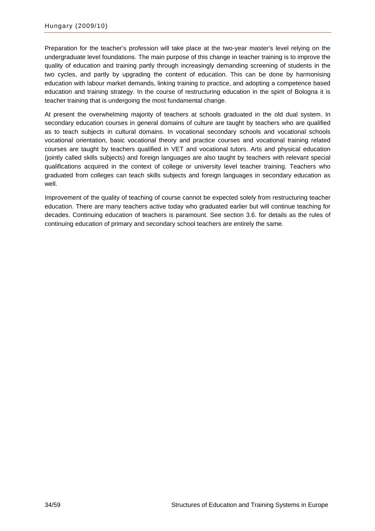Preparation for the teacher's profession will take place at the two-year master's level relying on the undergraduate level foundations. The main purpose of this change in teacher training is to improve the quality of education and training partly through increasingly demanding screening of students in the two cycles, and partly by upgrading the content of education. This can be done by harmonising education with labour market demands, linking training to practice, and adopting a competence based education and training strategy. In the course of restructuring education in the spirit of Bologna it is teacher training that is undergoing the most fundamental change.

At present the overwhelming majority of teachers at schools graduated in the old dual system. In secondary education courses in general domains of culture are taught by teachers who are qualified as to teach subjects in cultural domains. In vocational secondary schools and vocational schools vocational orientation, basic vocational theory and practice courses and vocational training related courses are taught by teachers qualified in VET and vocational tutors. Arts and physical education (jointly called skills subjects) and foreign languages are also taught by teachers with relevant special qualifications acquired in the context of college or university level teacher training. Teachers who graduated from colleges can teach skills subjects and foreign languages in secondary education as well.

Improvement of the quality of teaching of course cannot be expected solely from restructuring teacher education. There are many teachers active today who graduated earlier but will continue teaching for decades. Continuing education of teachers is paramount. See section 3.6. for details as the rules of continuing education of primary and secondary school teachers are entirely the same.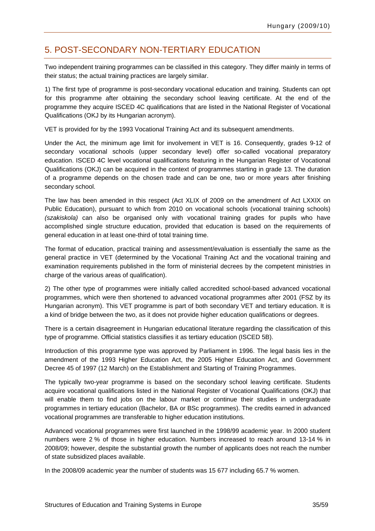## <span id="page-36-0"></span>5. POST-SECONDARY NON-TERTIARY EDUCATION

Two independent training programmes can be classified in this category. They differ mainly in terms of their status; the actual training practices are largely similar.

1) The first type of programme is post-secondary vocational education and training. Students can opt for this programme after obtaining the secondary school leaving certificate. At the end of the programme they acquire ISCED 4C qualifications that are listed in the National Register of Vocational Qualifications (OKJ by its Hungarian acronym).

VET is provided for by the 1993 Vocational Training Act and its subsequent amendments.

Under the Act, the minimum age limit for involvement in VET is 16. Consequently, grades 9-12 of secondary vocational schools (upper secondary level) offer so-called vocational preparatory education. ISCED 4C level vocational qualifications featuring in the Hungarian Register of Vocational Qualifications (OKJ) can be acquired in the context of programmes starting in grade 13. The duration of a programme depends on the chosen trade and can be one, two or more years after finishing secondary school.

The law has been amended in this respect (Act XLIX of 2009 on the amendment of Act LXXIX on Public Education), pursuant to which from 2010 on vocational schools (vocational training schools) *(szakiskola)* can also be organised only with vocational training grades for pupils who have accomplished single structure education, provided that education is based on the requirements of general education in at least one-third of total training time.

The format of education, practical training and assessment/evaluation is essentially the same as the general practice in VET (determined by the Vocational Training Act and the vocational training and examination requirements published in the form of ministerial decrees by the competent ministries in charge of the various areas of qualification).

2) The other type of programmes were initially called accredited school-based advanced vocational programmes, which were then shortened to advanced vocational programmes after 2001 (FSZ by its Hungarian acronym). This VET programme is part of both secondary VET and tertiary education. It is a kind of bridge between the two, as it does not provide higher education qualifications or degrees.

There is a certain disagreement in Hungarian educational literature regarding the classification of this type of programme. Official statistics classifies it as tertiary education (ISCED 5B).

Introduction of this programme type was approved by Parliament in 1996. The legal basis lies in the amendment of the 1993 Higher Education Act, the 2005 Higher Education Act, and Government Decree 45 of 1997 (12 March) on the Establishment and Starting of Training Programmes.

The typically two-year programme is based on the secondary school leaving certificate. Students acquire vocational qualifications listed in the National Register of Vocational Qualifications (OKJ) that will enable them to find jobs on the labour market or continue their studies in undergraduate programmes in tertiary education (Bachelor, BA or BSc programmes). The credits earned in advanced vocational programmes are transferable to higher education institutions.

Advanced vocational programmes were first launched in the 1998/99 academic year. In 2000 student numbers were 2 % of those in higher education. Numbers increased to reach around 13-14 % in 2008/09; however, despite the substantial growth the number of applicants does not reach the number of state subsidized places available.

In the 2008/09 academic year the number of students was 15 677 including 65.7 % women.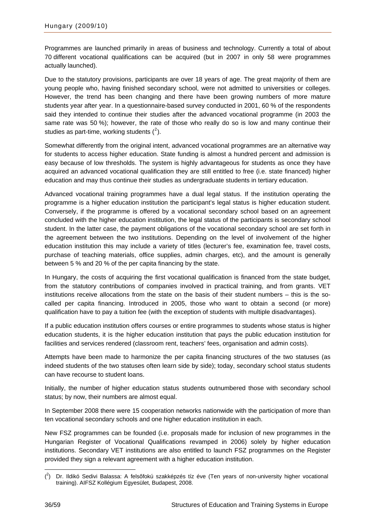Programmes are launched primarily in areas of business and technology. Currently a total of about 70 different vocational qualifications can be acquired (but in 2007 in only 58 were programmes actually launched).

Due to the statutory provisions, participants are over 18 years of age. The great majority of them are young people who, having finished secondary school, were not admitted to universities or colleges. However, the trend has been changing and there have been growing numbers of more mature students year after year. In a questionnaire-based survey conducted in 2001, 60 % of the respondents said they intended to continue their studies after the advanced vocational programme (in 2003 the same rate was 50 %); however, the rate of those who really do so is low and many continue their studies as part-time, working students  $(^2)$  $(^2)$  $(^2)$ .

Somewhat differently from the original intent, advanced vocational programmes are an alternative way for students to access higher education. State funding is almost a hundred percent and admission is easy because of low thresholds. The system is highly advantageous for students as once they have acquired an advanced vocational qualification they are still entitled to free (i.e. state financed) higher education and may thus continue their studies as undergraduate students in tertiary education.

Advanced vocational training programmes have a dual legal status. If the institution operating the programme is a higher education institution the participant's legal status is higher education student. Conversely, if the programme is offered by a vocational secondary school based on an agreement concluded with the higher education institution, the legal status of the participants is secondary school student. In the latter case, the payment obligations of the vocational secondary school are set forth in the agreement between the two institutions. Depending on the level of involvement of the higher education institution this may include a variety of titles (lecturer's fee, examination fee, travel costs, purchase of teaching materials, office supplies, admin charges, etc), and the amount is generally between 5 % and 20 % of the per capita financing by the state.

In Hungary, the costs of acquiring the first vocational qualification is financed from the state budget, from the statutory contributions of companies involved in practical training, and from grants. VET institutions receive allocations from the state on the basis of their student numbers – this is the socalled per capita financing. Introduced in 2005, those who want to obtain a second (or more) qualification have to pay a tuition fee (with the exception of students with multiple disadvantages).

If a public education institution offers courses or entire programmes to students whose status is higher education students, it is the higher education institution that pays the public education institution for facilities and services rendered (classroom rent, teachers' fees, organisation and admin costs).

Attempts have been made to harmonize the per capita financing structures of the two statuses (as indeed students of the two statuses often learn side by side); today, secondary school status students can have recourse to student loans.

Initially, the number of higher education status students outnumbered those with secondary school status; by now, their numbers are almost equal.

In September 2008 there were 15 cooperation networks nationwide with the participation of more than ten vocational secondary schools and one higher education institution in each.

New FSZ programmes can be founded (i.e. proposals made for inclusion of new programmes in the Hungarian Register of Vocational Qualifications revamped in 2006) solely by higher education institutions. Secondary VET institutions are also entitled to launch FSZ programmes on the Register provided they sign a relevant agreement with a higher education institution.

<span id="page-37-0"></span> $\overline{a}$  $(2)$  Dr. Ildikó Sedivi Balassa: A felsőfokú szakképzés tíz éve (Ten years of non-university higher vocational training). AIFSZ Kollégium Egyesület, Budapest, 2008.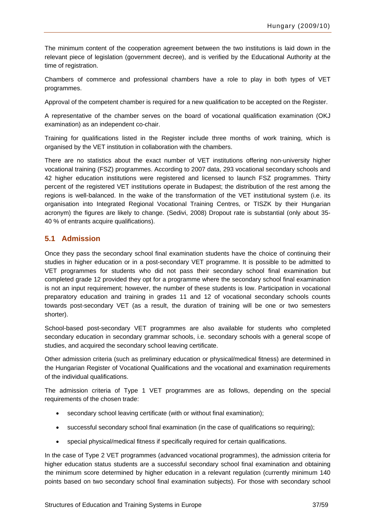<span id="page-38-0"></span>The minimum content of the cooperation agreement between the two institutions is laid down in the relevant piece of legislation (government decree), and is verified by the Educational Authority at the time of registration.

Chambers of commerce and professional chambers have a role to play in both types of VET programmes.

Approval of the competent chamber is required for a new qualification to be accepted on the Register.

A representative of the chamber serves on the board of vocational qualification examination (OKJ examination) as an independent co-chair.

Training for qualifications listed in the Register include three months of work training, which is organised by the VET institution in collaboration with the chambers.

There are no statistics about the exact number of VET institutions offering non-university higher vocational training (FSZ) programmes. According to 2007 data, 293 vocational secondary schools and 42 higher education institutions were registered and licensed to launch FSZ programmes. Thirty percent of the registered VET institutions operate in Budapest; the distribution of the rest among the regions is well-balanced. In the wake of the transformation of the VET institutional system (i.e. its organisation into Integrated Regional Vocational Training Centres, or TISZK by their Hungarian acronym) the figures are likely to change. (Sedivi, 2008) Dropout rate is substantial (only about 35- 40 % of entrants acquire qualifications).

### **5.1 Admission**

Once they pass the secondary school final examination students have the choice of continuing their studies in higher education or in a post-secondary VET programme. It is possible to be admitted to VET programmes for students who did not pass their secondary school final examination but completed grade 12 provided they opt for a programme where the secondary school final examination is not an input requirement; however, the number of these students is low. Participation in vocational preparatory education and training in grades 11 and 12 of vocational secondary schools counts towards post-secondary VET (as a result, the duration of training will be one or two semesters shorter).

School-based post-secondary VET programmes are also available for students who completed secondary education in secondary grammar schools, i.e. secondary schools with a general scope of studies, and acquired the secondary school leaving certificate.

Other admission criteria (such as preliminary education or physical/medical fitness) are determined in the Hungarian Register of Vocational Qualifications and the vocational and examination requirements of the individual qualifications.

The admission criteria of Type 1 VET programmes are as follows, depending on the special requirements of the chosen trade:

- secondary school leaving certificate (with or without final examination);
- successful secondary school final examination (in the case of qualifications so requiring);
- special physical/medical fitness if specifically required for certain qualifications.

In the case of Type 2 VET programmes (advanced vocational programmes), the admission criteria for higher education status students are a successful secondary school final examination and obtaining the minimum score determined by higher education in a relevant regulation (currently minimum 140 points based on two secondary school final examination subjects). For those with secondary school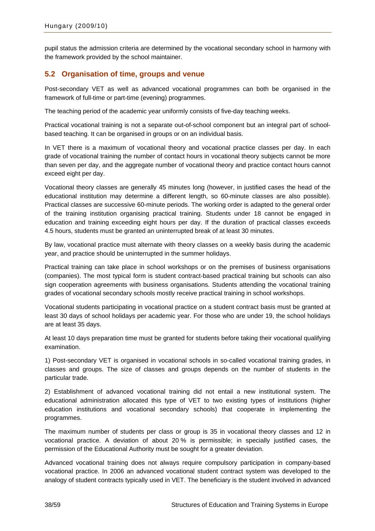<span id="page-39-0"></span>pupil status the admission criteria are determined by the vocational secondary school in harmony with the framework provided by the school maintainer.

### **5.2 Organisation of time, groups and venue**

Post-secondary VET as well as advanced vocational programmes can both be organised in the framework of full-time or part-time (evening) programmes.

The teaching period of the academic year uniformly consists of five-day teaching weeks.

Practical vocational training is not a separate out-of-school component but an integral part of schoolbased teaching. It can be organised in groups or on an individual basis.

In VET there is a maximum of vocational theory and vocational practice classes per day. In each grade of vocational training the number of contact hours in vocational theory subjects cannot be more than seven per day, and the aggregate number of vocational theory and practice contact hours cannot exceed eight per day.

Vocational theory classes are generally 45 minutes long (however, in justified cases the head of the educational institution may determine a different length, so 60-minute classes are also possible). Practical classes are successive 60-minute periods. The working order is adapted to the general order of the training institution organising practical training. Students under 18 cannot be engaged in education and training exceeding eight hours per day. If the duration of practical classes exceeds 4.5 hours, students must be granted an uninterrupted break of at least 30 minutes.

By law, vocational practice must alternate with theory classes on a weekly basis during the academic year, and practice should be uninterrupted in the summer holidays.

Practical training can take place in school workshops or on the premises of business organisations (companies). The most typical form is student contract-based practical training but schools can also sign cooperation agreements with business organisations. Students attending the vocational training grades of vocational secondary schools mostly receive practical training in school workshops.

Vocational students participating in vocational practice on a student contract basis must be granted at least 30 days of school holidays per academic year. For those who are under 19, the school holidays are at least 35 days.

At least 10 days preparation time must be granted for students before taking their vocational qualifying examination.

1) Post-secondary VET is organised in vocational schools in so-called vocational training grades, in classes and groups. The size of classes and groups depends on the number of students in the particular trade.

2) Establishment of advanced vocational training did not entail a new institutional system. The educational administration allocated this type of VET to two existing types of institutions (higher education institutions and vocational secondary schools) that cooperate in implementing the programmes.

The maximum number of students per class or group is 35 in vocational theory classes and 12 in vocational practice. A deviation of about 20 % is permissible; in specially justified cases, the permission of the Educational Authority must be sought for a greater deviation.

Advanced vocational training does not always require compulsory participation in company-based vocational practice. In 2006 an advanced vocational student contract system was developed to the analogy of student contracts typically used in VET. The beneficiary is the student involved in advanced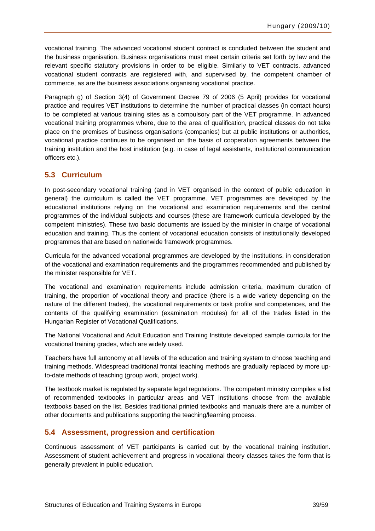<span id="page-40-0"></span>vocational training. The advanced vocational student contract is concluded between the student and the business organisation. Business organisations must meet certain criteria set forth by law and the relevant specific statutory provisions in order to be eligible. Similarly to VET contracts, advanced vocational student contracts are registered with, and supervised by, the competent chamber of commerce, as are the business associations organising vocational practice.

Paragraph g) of Section 3(4) of Government Decree 79 of 2006 (5 April) provides for vocational practice and requires VET institutions to determine the number of practical classes (in contact hours) to be completed at various training sites as a compulsory part of the VET programme. In advanced vocational training programmes where, due to the area of qualification, practical classes do not take place on the premises of business organisations (companies) but at public institutions or authorities, vocational practice continues to be organised on the basis of cooperation agreements between the training institution and the host institution (e.g. in case of legal assistants, institutional communication officers etc.).

#### **5.3 Curriculum**

In post-secondary vocational training (and in VET organised in the context of public education in general) the curriculum is called the VET programme. VET programmes are developed by the educational institutions relying on the vocational and examination requirements and the central programmes of the individual subjects and courses (these are framework curricula developed by the competent ministries). These two basic documents are issued by the minister in charge of vocational education and training. Thus the content of vocational education consists of institutionally developed programmes that are based on nationwide framework programmes.

Curricula for the advanced vocational programmes are developed by the institutions, in consideration of the vocational and examination requirements and the programmes recommended and published by the minister responsible for VET.

The vocational and examination requirements include admission criteria, maximum duration of training, the proportion of vocational theory and practice (there is a wide variety depending on the nature of the different trades), the vocational requirements or task profile and competences, and the contents of the qualifying examination (examination modules) for all of the trades listed in the Hungarian Register of Vocational Qualifications.

The National Vocational and Adult Education and Training Institute developed sample curricula for the vocational training grades, which are widely used.

Teachers have full autonomy at all levels of the education and training system to choose teaching and training methods. Widespread traditional frontal teaching methods are gradually replaced by more upto-date methods of teaching (group work, project work).

The textbook market is regulated by separate legal regulations. The competent ministry compiles a list of recommended textbooks in particular areas and VET institutions choose from the available textbooks based on the list. Besides traditional printed textbooks and manuals there are a number of other documents and publications supporting the teaching/learning process.

### **5.4 Assessment, progression and certification**

Continuous assessment of VET participants is carried out by the vocational training institution. Assessment of student achievement and progress in vocational theory classes takes the form that is generally prevalent in public education.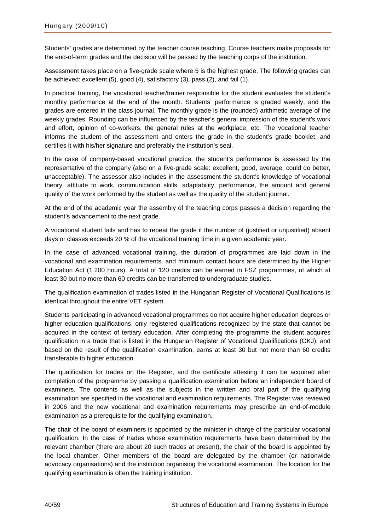Students' grades are determined by the teacher course teaching. Course teachers make proposals for the end-of-term grades and the decision will be passed by the teaching corps of the institution.

Assessment takes place on a five-grade scale where 5 is the highest grade. The following grades can be achieved: excellent (5), good (4), satisfactory (3), pass (2), and fail (1).

In practical training, the vocational teacher/trainer responsible for the student evaluates the student's monthly performance at the end of the month. Students' performance is graded weekly, and the grades are entered in the class journal. The monthly grade is the (rounded) arithmetic average of the weekly grades. Rounding can be influenced by the teacher's general impression of the student's work and effort, opinion of co-workers, the general rules at the workplace, etc. The vocational teacher informs the student of the assessment and enters the grade in the student's grade booklet, and certifies it with his/her signature and preferably the institution's seal.

In the case of company-based vocational practice, the student's performance is assessed by the representative of the company (also on a five-grade scale: excellent, good, average, could do better, unacceptable). The assessor also includes in the assessment the student's knowledge of vocational theory, attitude to work, communication skills, adaptability, performance, the amount and general quality of the work performed by the student as well as the quality of the student journal.

At the end of the academic year the assembly of the teaching corps passes a decision regarding the student's advancement to the next grade.

A vocational student fails and has to repeat the grade if the number of (justified or unjustified) absent days or classes exceeds 20 % of the vocational training time in a given academic year.

In the case of advanced vocational training, the duration of programmes are laid down in the vocational and examination requirements, and minimum contact hours are determined by the Higher Education Act (1 200 hours). A total of 120 credits can be earned in FSZ programmes, of which at least 30 but no more than 60 credits can be transferred to undergraduate studies.

The qualification examination of trades listed in the Hungarian Register of Vocational Qualifications is identical throughout the entire VET system.

Students participating in advanced vocational programmes do not acquire higher education degrees or higher education qualifications, only registered qualifications recognized by the state that cannot be acquired in the context of tertiary education. After completing the programme the student acquires qualification in a trade that is listed in the Hungarian Register of Vocational Qualifications (OKJ), and based on the result of the qualification examination, earns at least 30 but not more than 60 credits transferable to higher education.

The qualification for trades on the Register, and the certificate attesting it can be acquired after completion of the programme by passing a qualification examination before an independent board of examiners. The contents as well as the subjects in the written and oral part of the qualifying examination are specified in the vocational and examination requirements. The Register was reviewed in 2006 and the new vocational and examination requirements may prescribe an end-of-module examination as a prerequisite for the qualifying examination.

The chair of the board of examiners is appointed by the minister in charge of the particular vocational qualification. In the case of trades whose examination requirements have been determined by the relevant chamber (there are about 20 such trades at present), the chair of the board is appointed by the local chamber. Other members of the board are delegated by the chamber (or nationwide advocacy organisations) and the institution organising the vocational examination. The location for the qualifying examination is often the training institution.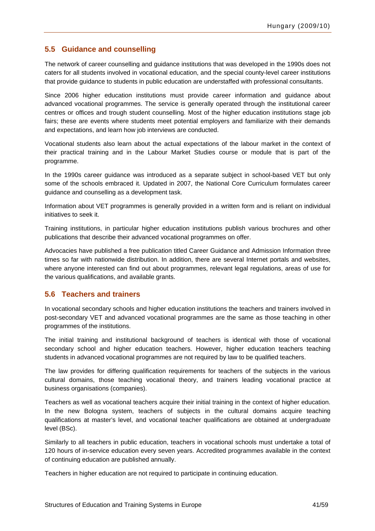### <span id="page-42-0"></span>**5.5 Guidance and counselling**

The network of career counselling and guidance institutions that was developed in the 1990s does not caters for all students involved in vocational education, and the special county-level career institutions that provide guidance to students in public education are understaffed with professional consultants.

Since 2006 higher education institutions must provide career information and guidance about advanced vocational programmes. The service is generally operated through the institutional career centres or offices and trough student counselling. Most of the higher education institutions stage job fairs; these are events where students meet potential employers and familiarize with their demands and expectations, and learn how job interviews are conducted.

Vocational students also learn about the actual expectations of the labour market in the context of their practical training and in the Labour Market Studies course or module that is part of the programme.

In the 1990s career guidance was introduced as a separate subject in school-based VET but only some of the schools embraced it. Updated in 2007, the National Core Curriculum formulates career guidance and counselling as a development task.

Information about VET programmes is generally provided in a written form and is reliant on individual initiatives to seek it.

Training institutions, in particular higher education institutions publish various brochures and other publications that describe their advanced vocational programmes on offer.

Advocacies have published a free publication titled Career Guidance and Admission Information three times so far with nationwide distribution. In addition, there are several Internet portals and websites, where anyone interested can find out about programmes, relevant legal regulations, areas of use for the various qualifications, and available grants.

### **5.6 Teachers and trainers**

In vocational secondary schools and higher education institutions the teachers and trainers involved in post-secondary VET and advanced vocational programmes are the same as those teaching in other programmes of the institutions.

The initial training and institutional background of teachers is identical with those of vocational secondary school and higher education teachers. However, higher education teachers teaching students in advanced vocational programmes are not required by law to be qualified teachers.

The law provides for differing qualification requirements for teachers of the subjects in the various cultural domains, those teaching vocational theory, and trainers leading vocational practice at business organisations (companies).

Teachers as well as vocational teachers acquire their initial training in the context of higher education. In the new Bologna system, teachers of subjects in the cultural domains acquire teaching qualifications at master's level, and vocational teacher qualifications are obtained at undergraduate level (BSc).

Similarly to all teachers in public education, teachers in vocational schools must undertake a total of 120 hours of in-service education every seven years. Accredited programmes available in the context of continuing education are published annually.

Teachers in higher education are not required to participate in continuing education.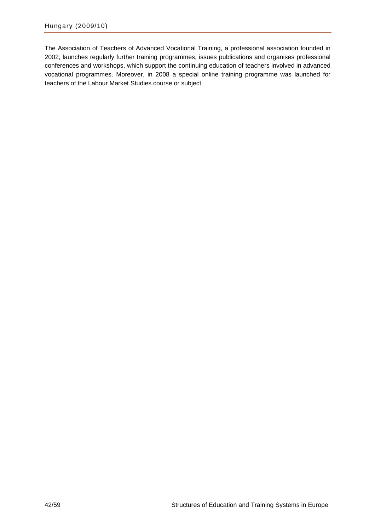The Association of Teachers of Advanced Vocational Training, a professional association founded in 2002, launches regularly further training programmes, issues publications and organises professional conferences and workshops, which support the continuing education of teachers involved in advanced vocational programmes. Moreover, in 2008 a special online training programme was launched for teachers of the Labour Market Studies course or subject.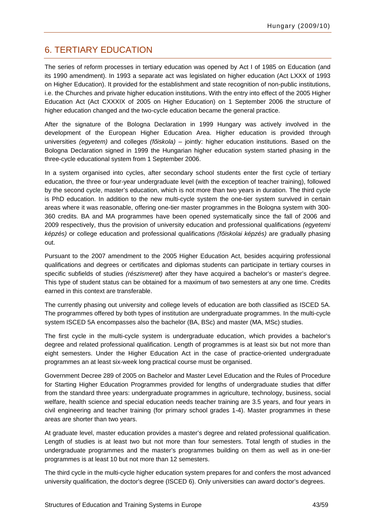### <span id="page-44-0"></span>6. TERTIARY EDUCATION

The series of reform processes in tertiary education was opened by Act I of 1985 on Education (and its 1990 amendment). In 1993 a separate act was legislated on higher education (Act LXXX of 1993 on Higher Education). It provided for the establishment and state recognition of non-public institutions, i.e. the Churches and private higher education institutions. With the entry into effect of the 2005 Higher Education Act (Act CXXXIX of 2005 on Higher Education) on 1 September 2006 the structure of higher education changed and the two-cycle education became the general practice.

After the signature of the Bologna Declaration in 1999 Hungary was actively involved in the development of the European Higher Education Area. Higher education is provided through universities *(egyetem)* and colleges *(főiskola)* – jointly: higher education institutions. Based on the Bologna Declaration signed in 1999 the Hungarian higher education system started phasing in the three-cycle educational system from 1 September 2006.

In a system organised into cycles, after secondary school students enter the first cycle of tertiary education, the three or four-year undergraduate level (with the exception of teacher training), followed by the second cycle, master's education, which is not more than two years in duration. The third cycle is PhD education. In addition to the new multi-cycle system the one-tier system survived in certain areas where it was reasonable, offering one-tier master programmes in the Bologna system with 300- 360 credits. BA and MA programmes have been opened systematically since the fall of 2006 and 2009 respectively, thus the provision of university education and professional qualifications *(egyetemi képzés)* or college education and professional qualifications *(főiskolai képzés)* are gradually phasing out.

Pursuant to the 2007 amendment to the 2005 Higher Education Act, besides acquiring professional qualifications and degrees or certificates and diplomas students can participate in tertiary courses in specific subfields of studies *(részismeret)* after they have acquired a bachelor's or master's degree. This type of student status can be obtained for a maximum of two semesters at any one time. Credits earned in this context are transferable.

The currently phasing out university and college levels of education are both classified as ISCED 5A. The programmes offered by both types of institution are undergraduate programmes. In the multi-cycle system ISCED 5A encompasses also the bachelor (BA, BSc) and master (MA, MSc) studies.

The first cycle in the multi-cycle system is undergraduate education, which provides a bachelor's degree and related professional qualification. Length of programmes is at least six but not more than eight semesters. Under the Higher Education Act in the case of practice-oriented undergraduate programmes an at least six-week long practical course must be organised.

Government Decree 289 of 2005 on Bachelor and Master Level Education and the Rules of Procedure for Starting Higher Education Programmes provided for lengths of undergraduate studies that differ from the standard three years: undergraduate programmes in agriculture, technology, business, social welfare, health science and special education needs teacher training are 3.5 years, and four years in civil engineering and teacher training (for primary school grades 1-4). Master programmes in these areas are shorter than two years.

At graduate level, master education provides a master's degree and related professional qualification. Length of studies is at least two but not more than four semesters. Total length of studies in the undergraduate programmes and the master's programmes building on them as well as in one-tier programmes is at least 10 but not more than 12 semesters.

The third cycle in the multi-cycle higher education system prepares for and confers the most advanced university qualification, the doctor's degree (ISCED 6). Only universities can award doctor's degrees.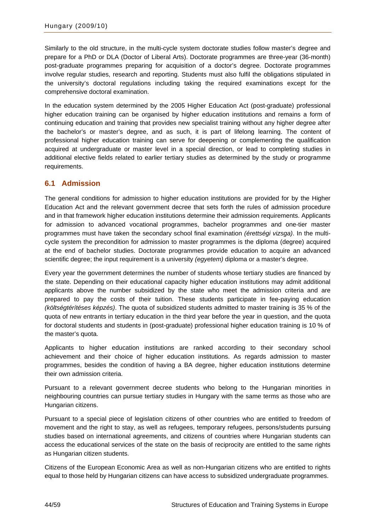<span id="page-45-0"></span>Similarly to the old structure, in the multi-cycle system doctorate studies follow master's degree and prepare for a PhD or DLA (Doctor of Liberal Arts). Doctorate programmes are three-year (36-month) post-graduate programmes preparing for acquisition of a doctor's degree. Doctorate programmes involve regular studies, research and reporting. Students must also fulfil the obligations stipulated in the university's doctoral regulations including taking the required examinations except for the comprehensive doctoral examination.

In the education system determined by the 2005 Higher Education Act (post-graduate) professional higher education training can be organised by higher education institutions and remains a form of continuing education and training that provides new specialist training without any higher degree after the bachelor's or master's degree, and as such, it is part of lifelong learning. The content of professional higher education training can serve for deepening or complementing the qualification acquired at undergraduate or master level in a special direction, or lead to completing studies in additional elective fields related to earlier tertiary studies as determined by the study or programme requirements.

### **6.1 Admission**

The general conditions for admission to higher education institutions are provided for by the Higher Education Act and the relevant government decree that sets forth the rules of admission procedure and in that framework higher education institutions determine their admission requirements. Applicants for admission to advanced vocational programmes, bachelor programmes and one-tier master programmes must have taken the secondary school final examination *(érettségi vizsga)*. In the multicycle system the precondition for admission to master programmes is the diploma (degree) acquired at the end of bachelor studies. Doctorate programmes provide education to acquire an advanced scientific degree; the input requirement is a university *(egyetem)* diploma or a master's degree.

Every year the government determines the number of students whose tertiary studies are financed by the state. Depending on their educational capacity higher education institutions may admit additional applicants above the number subsidized by the state who meet the admission criteria and are prepared to pay the costs of their tuition. These students participate in fee-paying education *(költségtérítéses képzés)*. The quota of subsidized students admitted to master training is 35 % of the quota of new entrants in tertiary education in the third year before the year in question, and the quota for doctoral students and students in (post-graduate) professional higher education training is 10 % of the master's quota.

Applicants to higher education institutions are ranked according to their secondary school achievement and their choice of higher education institutions. As regards admission to master programmes, besides the condition of having a BA degree, higher education institutions determine their own admission criteria.

Pursuant to a relevant government decree students who belong to the Hungarian minorities in neighbouring countries can pursue tertiary studies in Hungary with the same terms as those who are Hungarian citizens.

Pursuant to a special piece of legislation citizens of other countries who are entitled to freedom of movement and the right to stay, as well as refugees, temporary refugees, persons/students pursuing studies based on international agreements, and citizens of countries where Hungarian students can access the educational services of the state on the basis of reciprocity are entitled to the same rights as Hungarian citizen students.

Citizens of the European Economic Area as well as non-Hungarian citizens who are entitled to rights equal to those held by Hungarian citizens can have access to subsidized undergraduate programmes.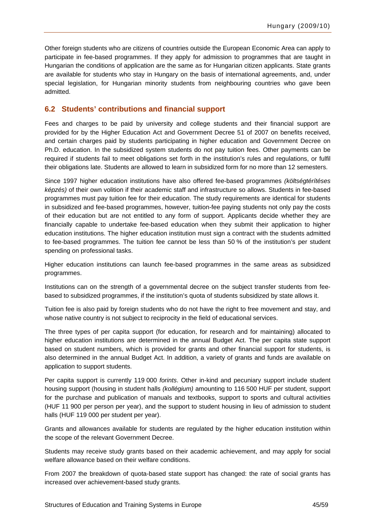<span id="page-46-0"></span>Other foreign students who are citizens of countries outside the European Economic Area can apply to participate in fee-based programmes. If they apply for admission to programmes that are taught in Hungarian the conditions of application are the same as for Hungarian citizen applicants. State grants are available for students who stay in Hungary on the basis of international agreements, and, under special legislation, for Hungarian minority students from neighbouring countries who gave been admitted.

#### **6.2 Students' contributions and financial support**

Fees and charges to be paid by university and college students and their financial support are provided for by the Higher Education Act and Government Decree 51 of 2007 on benefits received, and certain charges paid by students participating in higher education and Government Decree on Ph.D. education. In the subsidized system students do not pay tuition fees. Other payments can be required if students fail to meet obligations set forth in the institution's rules and regulations, or fulfil their obligations late. Students are allowed to learn in subsidized form for no more than 12 semesters.

Since 1997 higher education institutions have also offered fee-based programmes *(költségtérítéses képzés)* of their own volition if their academic staff and infrastructure so allows. Students in fee-based programmes must pay tuition fee for their education. The study requirements are identical for students in subsidized and fee-based programmes, however, tuition-fee paying students not only pay the costs of their education but are not entitled to any form of support. Applicants decide whether they are financially capable to undertake fee-based education when they submit their application to higher education institutions. The higher education institution must sign a contract with the students admitted to fee-based programmes. The tuition fee cannot be less than 50 % of the institution's per student spending on professional tasks.

Higher education institutions can launch fee-based programmes in the same areas as subsidized programmes.

Institutions can on the strength of a governmental decree on the subject transfer students from feebased to subsidized programmes, if the institution's quota of students subsidized by state allows it.

Tuition fee is also paid by foreign students who do not have the right to free movement and stay, and whose native country is not subject to reciprocity in the field of educational services.

The three types of per capita support (for education, for research and for maintaining) allocated to higher education institutions are determined in the annual Budget Act. The per capita state support based on student numbers, which is provided for grants and other financial support for students, is also determined in the annual Budget Act. In addition, a variety of grants and funds are available on application to support students.

Per capita support is currently 119 000 *forints*. Other in-kind and pecuniary support include student housing support (housing in student halls *(kollégium)* amounting to 116 500 HUF per student, support for the purchase and publication of manuals and textbooks, support to sports and cultural activities (HUF 11 900 per person per year), and the support to student housing in lieu of admission to student halls (HUF 119 000 per student per year).

Grants and allowances available for students are regulated by the higher education institution within the scope of the relevant Government Decree.

Students may receive study grants based on their academic achievement, and may apply for social welfare allowance based on their welfare conditions.

From 2007 the breakdown of quota-based state support has changed: the rate of social grants has increased over achievement-based study grants.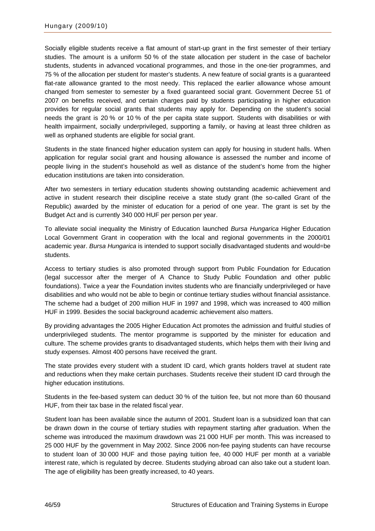Socially eligible students receive a flat amount of start-up grant in the first semester of their tertiary studies. The amount is a uniform 50 % of the state allocation per student in the case of bachelor students, students in advanced vocational programmes, and those in the one-tier programmes, and 75 % of the allocation per student for master's students. A new feature of social grants is a guaranteed flat-rate allowance granted to the most needy. This replaced the earlier allowance whose amount changed from semester to semester by a fixed guaranteed social grant. Government Decree 51 of 2007 on benefits received, and certain charges paid by students participating in higher education provides for regular social grants that students may apply for. Depending on the student's social needs the grant is 20 % or 10 % of the per capita state support. Students with disabilities or with health impairment, socially underprivileged, supporting a family, or having at least three children as well as orphaned students are eligible for social grant.

Students in the state financed higher education system can apply for housing in student halls. When application for regular social grant and housing allowance is assessed the number and income of people living in the student's household as well as distance of the student's home from the higher education institutions are taken into consideration.

After two semesters in tertiary education students showing outstanding academic achievement and active in student research their discipline receive a state study grant (the so-called Grant of the Republic) awarded by the minister of education for a period of one year. The grant is set by the Budget Act and is currently 340 000 HUF per person per year.

To alleviate social inequality the Ministry of Education launched *Bursa Hungarica* Higher Education Local Government Grant in cooperation with the local and regional governments in the 2000/01 academic year. *Bursa Hungarica* is intended to support socially disadvantaged students and would=be students.

Access to tertiary studies is also promoted through support from Public Foundation for Education (legal successor after the merger of A Chance to Study Public Foundation and other public foundations). Twice a year the Foundation invites students who are financially underprivileged or have disabilities and who would not be able to begin or continue tertiary studies without financial assistance. The scheme had a budget of 200 million HUF in 1997 and 1998, which was increased to 400 million HUF in 1999. Besides the social background academic achievement also matters.

By providing advantages the 2005 Higher Education Act promotes the admission and fruitful studies of underprivileged students. The mentor programme is supported by the minister for education and culture. The scheme provides grants to disadvantaged students, which helps them with their living and study expenses. Almost 400 persons have received the grant.

The state provides every student with a student ID card, which grants holders travel at student rate and reductions when they make certain purchases. Students receive their student ID card through the higher education institutions.

Students in the fee-based system can deduct 30 % of the tuition fee, but not more than 60 thousand HUF, from their tax base in the related fiscal year.

Student loan has been available since the autumn of 2001. Student loan is a subsidized loan that can be drawn down in the course of tertiary studies with repayment starting after graduation. When the scheme was introduced the maximum drawdown was 21 000 HUF per month. This was increased to 25 000 HUF by the government in May 2002. Since 2006 non-fee paying students can have recourse to student loan of 30 000 HUF and those paying tuition fee, 40 000 HUF per month at a variable interest rate, which is regulated by decree. Students studying abroad can also take out a student loan. The age of eligibility has been greatly increased, to 40 years.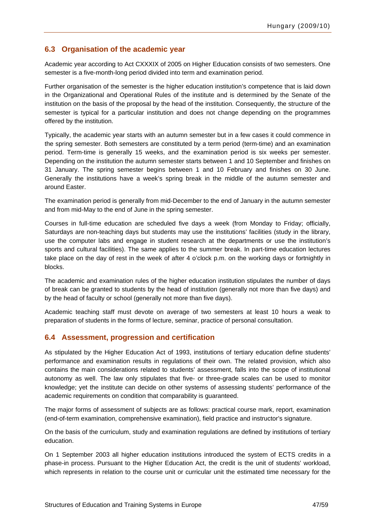### <span id="page-48-0"></span>**6.3 Organisation of the academic year**

Academic year according to Act CXXXIX of 2005 on Higher Education consists of two semesters. One semester is a five-month-long period divided into term and examination period.

Further organisation of the semester is the higher education institution's competence that is laid down in the Organizational and Operational Rules of the institute and is determined by the Senate of the institution on the basis of the proposal by the head of the institution. Consequently, the structure of the semester is typical for a particular institution and does not change depending on the programmes offered by the institution.

Typically, the academic year starts with an autumn semester but in a few cases it could commence in the spring semester. Both semesters are constituted by a term period (term-time) and an examination period. Term-time is generally 15 weeks, and the examination period is six weeks per semester. Depending on the institution the autumn semester starts between 1 and 10 September and finishes on 31 January. The spring semester begins between 1 and 10 February and finishes on 30 June. Generally the institutions have a week's spring break in the middle of the autumn semester and around Easter.

The examination period is generally from mid-December to the end of January in the autumn semester and from mid-May to the end of June in the spring semester.

Courses in full-time education are scheduled five days a week (from Monday to Friday; officially, Saturdays are non-teaching days but students may use the institutions' facilities (study in the library, use the computer labs and engage in student research at the departments or use the institution's sports and cultural facilities). The same applies to the summer break. In part-time education lectures take place on the day of rest in the week of after 4 o'clock p.m. on the working days or fortnightly in blocks.

The academic and examination rules of the higher education institution stipulates the number of days of break can be granted to students by the head of institution (generally not more than five days) and by the head of faculty or school (generally not more than five days).

Academic teaching staff must devote on average of two semesters at least 10 hours a weak to preparation of students in the forms of lecture, seminar, practice of personal consultation.

### **6.4 Assessment, progression and certification**

As stipulated by the Higher Education Act of 1993, institutions of tertiary education define students' performance and examination results in regulations of their own. The related provision, which also contains the main considerations related to students' assessment, falls into the scope of institutional autonomy as well. The law only stipulates that five- or three-grade scales can be used to monitor knowledge; yet the institute can decide on other systems of assessing students' performance of the academic requirements on condition that comparability is guaranteed.

The major forms of assessment of subjects are as follows: practical course mark, report, examination (end-of-term examination, comprehensive examination), field practice and instructor's signature.

On the basis of the curriculum, study and examination regulations are defined by institutions of tertiary education.

On 1 September 2003 all higher education institutions introduced the system of ECTS credits in a phase-in process. Pursuant to the Higher Education Act, the credit is the unit of students' workload, which represents in relation to the course unit or curricular unit the estimated time necessary for the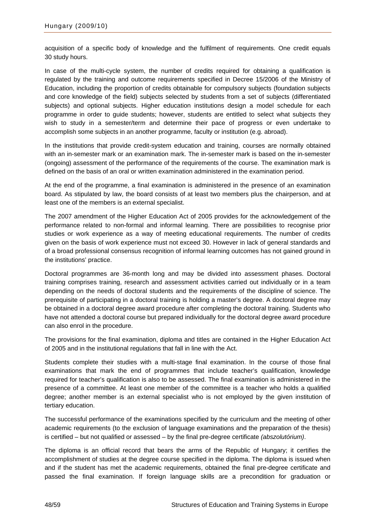acquisition of a specific body of knowledge and the fulfilment of requirements. One credit equals 30 study hours.

In case of the multi-cycle system, the number of credits required for obtaining a qualification is regulated by the training and outcome requirements specified in Decree 15/2006 of the Ministry of Education, including the proportion of credits obtainable for compulsory subjects (foundation subjects and core knowledge of the field) subjects selected by students from a set of subjects (differentiated subjects) and optional subjects. Higher education institutions design a model schedule for each programme in order to guide students; however, students are entitled to select what subjects they wish to study in a semester/term and determine their pace of progress or even undertake to accomplish some subjects in an another programme, faculty or institution (e.g. abroad).

In the institutions that provide credit-system education and training, courses are normally obtained with an in-semester mark or an examination mark. The in-semester mark is based on the in-semester (ongoing) assessment of the performance of the requirements of the course. The examination mark is defined on the basis of an oral or written examination administered in the examination period.

At the end of the programme, a final examination is administered in the presence of an examination board. As stipulated by law, the board consists of at least two members plus the chairperson, and at least one of the members is an external specialist.

The 2007 amendment of the Higher Education Act of 2005 provides for the acknowledgement of the performance related to non-formal and informal learning. There are possibilities to recognise prior studies or work experience as a way of meeting educational requirements. The number of credits given on the basis of work experience must not exceed 30. However in lack of general standards and of a broad professional consensus recognition of informal learning outcomes has not gained ground in the institutions' practice.

Doctoral programmes are 36-month long and may be divided into assessment phases. Doctoral training comprises training, research and assessment activities carried out individually or in a team depending on the needs of doctoral students and the requirements of the discipline of science. The prerequisite of participating in a doctoral training is holding a master's degree. A doctoral degree may be obtained in a doctoral degree award procedure after completing the doctoral training. Students who have not attended a doctoral course but prepared individually for the doctoral degree award procedure can also enrol in the procedure.

The provisions for the final examination, diploma and titles are contained in the Higher Education Act of 2005 and in the institutional regulations that fall in line with the Act.

Students complete their studies with a multi-stage final examination. In the course of those final examinations that mark the end of programmes that include teacher's qualification, knowledge required for teacher's qualification is also to be assessed. The final examination is administered in the presence of a committee. At least one member of the committee is a teacher who holds a qualified degree; another member is an external specialist who is not employed by the given institution of tertiary education.

The successful performance of the examinations specified by the curriculum and the meeting of other academic requirements (to the exclusion of language examinations and the preparation of the thesis) is certified – but not qualified or assessed – by the final pre-degree certificate *(abszolutórium)*.

The diploma is an official record that bears the arms of the Republic of Hungary; it certifies the accomplishment of studies at the degree course specified in the diploma. The diploma is issued when and if the student has met the academic requirements, obtained the final pre-degree certificate and passed the final examination. If foreign language skills are a precondition for graduation or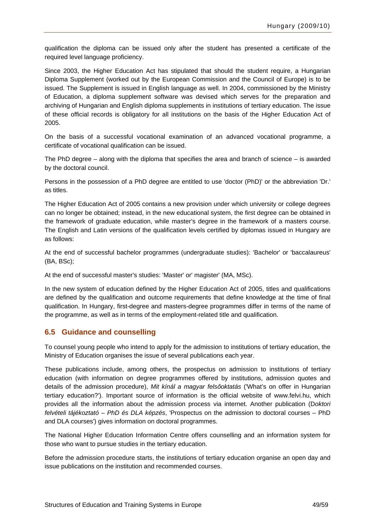<span id="page-50-0"></span>qualification the diploma can be issued only after the student has presented a certificate of the required level language proficiency.

Since 2003, the Higher Education Act has stipulated that should the student require, a Hungarian Diploma Supplement (worked out by the European Commission and the Council of Europe) is to be issued. The Supplement is issued in English language as well. In 2004, commissioned by the Ministry of Education, a diploma supplement software was devised which serves for the preparation and archiving of Hungarian and English diploma supplements in institutions of tertiary education. The issue of these official records is obligatory for all institutions on the basis of the Higher Education Act of 2005.

On the basis of a successful vocational examination of an advanced vocational programme, a certificate of vocational qualification can be issued.

The PhD degree – along with the diploma that specifies the area and branch of science – is awarded by the doctoral council.

Persons in the possession of a PhD degree are entitled to use 'doctor (PhD)' or the abbreviation 'Dr.' as titles.

The Higher Education Act of 2005 contains a new provision under which university or college degrees can no longer be obtained; instead, in the new educational system, the first degree can be obtained in the framework of graduate education, while master's degree in the framework of a masters course. The English and Latin versions of the qualification levels certified by diplomas issued in Hungary are as follows:

At the end of successful bachelor programmes (undergraduate studies): 'Bachelor' or 'baccalaureus' (BA, BSc);

At the end of successful master's studies: 'Master' or' magister' (MA, MSc).

In the new system of education defined by the Higher Education Act of 2005, titles and qualifications are defined by the qualification and outcome requirements that define knowledge at the time of final qualification. In Hungary, first-degree and masters-degree programmes differ in terms of the name of the programme, as well as in terms of the employment-related title and qualification.

#### **6.5 Guidance and counselling**

To counsel young people who intend to apply for the admission to institutions of tertiary education, the Ministry of Education organises the issue of several publications each year.

These publications include, among others, the prospectus on admission to institutions of tertiary education (with information on degree programmes offered by institutions, admission quotes and details of the admission procedure), *Mit kínál a magyar felsőoktatás* ('What's on offer in Hungarian tertiary education?'). Important source of information is the official website of [www.felvi.hu](http://www.felvi.hu/), which provides all the information about the admission process via internet. Another publication (D*oktori felvételi tájékoztató* – *PhD és DLA képzés*, 'Prospectus on the admission to doctoral courses – PhD and DLA courses') gives information on doctoral programmes.

The National Higher Education Information Centre offers counselling and an information system for those who want to pursue studies in the tertiary education.

Before the admission procedure starts, the institutions of tertiary education organise an open day and issue publications on the institution and recommended courses.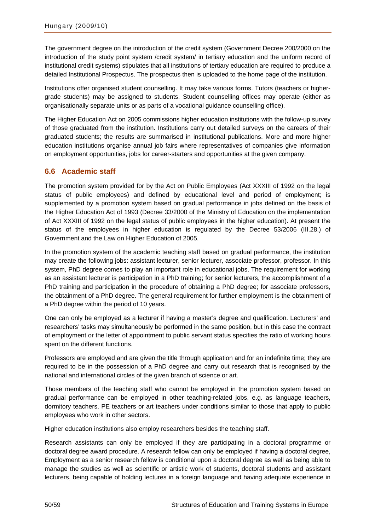<span id="page-51-0"></span>The government degree on the introduction of the credit system (Government Decree 200/2000 on the introduction of the study point system /credit system/ in tertiary education and the uniform record of institutional credit systems) stipulates that all institutions of tertiary education are required to produce a detailed Institutional Prospectus. The prospectus then is uploaded to the home page of the institution.

Institutions offer organised student counselling. It may take various forms. Tutors (teachers or highergrade students) may be assigned to students. Student counselling offices may operate (either as organisationally separate units or as parts of a vocational guidance counselling office).

The Higher Education Act on 2005 commissions higher education institutions with the follow-up survey of those graduated from the institution. Institutions carry out detailed surveys on the careers of their graduated students; the results are summarised in institutional publications. More and more higher education institutions organise annual job fairs where representatives of companies give information on employment opportunities, jobs for career-starters and opportunities at the given company.

### **6.6 Academic staff**

The promotion system provided for by the Act on Public Employees (Act XXXIII of 1992 on the legal status of public employees) and defined by educational level and period of employment; is supplemented by a promotion system based on gradual performance in jobs defined on the basis of the Higher Education Act of 1993 (Decree 33/2000 of the Ministry of Education on the implementation of Act XXXIII of 1992 on the legal status of public employees in the higher education). At present the status of the employees in higher education is regulated by the Decree 53/2006 (III.28.) of Government and the Law on Higher Education of 2005.

In the promotion system of the academic teaching staff based on gradual performance, the institution may create the following jobs: assistant lecturer, senior lecturer, associate professor, professor. In this system, PhD degree comes to play an important role in educational jobs. The requirement for working as an assistant lecturer is participation in a PhD training; for senior lecturers, the accomplishment of a PhD training and participation in the procedure of obtaining a PhD degree; for associate professors, the obtainment of a PhD degree. The general requirement for further employment is the obtainment of a PhD degree within the period of 10 years.

One can only be employed as a lecturer if having a master's degree and qualification. Lecturers' and researchers' tasks may simultaneously be performed in the same position, but in this case the contract of employment or the letter of appointment to public servant status specifies the ratio of working hours spent on the different functions.

Professors are employed and are given the title through application and for an indefinite time; they are required to be in the possession of a PhD degree and carry out research that is recognised by the national and international circles of the given branch of science or art.

Those members of the teaching staff who cannot be employed in the promotion system based on gradual performance can be employed in other teaching-related jobs, e.g. as language teachers, dormitory teachers, PE teachers or art teachers under conditions similar to those that apply to public employees who work in other sectors.

Higher education institutions also employ researchers besides the teaching staff.

Research assistants can only be employed if they are participating in a doctoral programme or doctoral degree award procedure. A research fellow can only be employed if having a doctoral degree, Employment as a senior research fellow is conditional upon a doctoral degree as well as being able to manage the studies as well as scientific or artistic work of students, doctoral students and assistant lecturers, being capable of holding lectures in a foreign language and having adequate experience in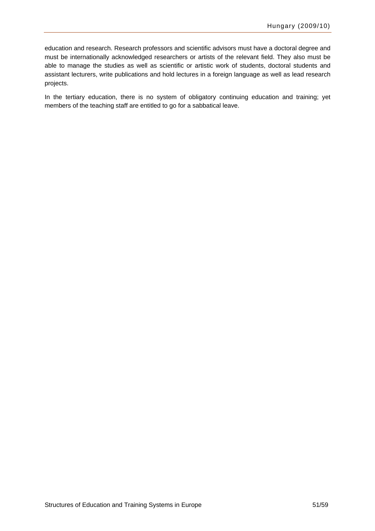education and research. Research professors and scientific advisors must have a doctoral degree and must be internationally acknowledged researchers or artists of the relevant field. They also must be able to manage the studies as well as scientific or artistic work of students, doctoral students and assistant lecturers, write publications and hold lectures in a foreign language as well as lead research projects.

In the tertiary education, there is no system of obligatory continuing education and training; yet members of the teaching staff are entitled to go for a sabbatical leave.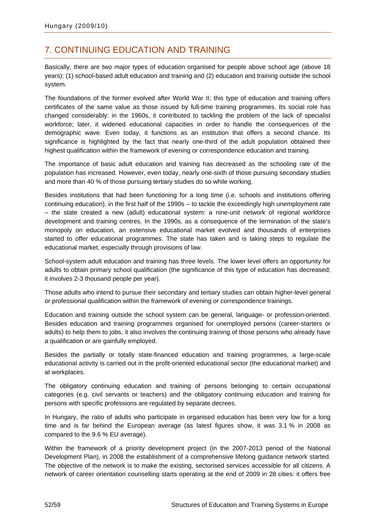## <span id="page-53-0"></span>7. CONTINUING EDUCATION AND TRAINING

Basically, there are two major types of education organised for people above school age (above 18 years): (1) school-based adult education and training and (2) education and training outside the school system.

The foundations of the former evolved after World War II; this type of education and training offers certificates of the same value as those issued by full-time training programmes. Its social role has changed considerably: in the 1960s, it contributed to tackling the problem of the lack of specialist workforce; later, it widened educational capacities in order to handle the consequences of the demographic wave. Even today, it functions as an institution that offers a second chance. Its significance is highlighted by the fact that nearly one-third of the adult population obtained their highest qualification within the framework of evening or correspondence education and training.

The importance of basic adult education and training has decreased as the schooling rate of the population has increased. However, even today, nearly one-sixth of those pursuing secondary studies and more than 40 % of those pursuing tertiary studies do so while working.

Besides institutions that had been functioning for a long time (i.e. schools and institutions offering continuing education), in the first half of the 1990s – to tackle the exceedingly high unemployment rate – the state created a new (adult) educational system: a nine-unit network of regional workforce development and training centres. In the 1990s, as a consequence of the termination of the state's monopoly on education, an extensive educational market evolved and thousands of enterprises started to offer educational programmes. The state has taken and is taking steps to regulate the educational market, especially through provisions of law.

School-system adult education and training has three levels. The lower level offers an opportunity for adults to obtain primary school qualification (the significance of this type of education has decreased; it involves 2-3 thousand people per year).

Those adults who intend to pursue their secondary and tertiary studies can obtain higher-level general or professional qualification within the framework of evening or correspondence trainings.

Education and training outside the school system can be general, language- or profession-oriented. Besides education and training programmes organised for unemployed persons (career-starters or adults) to help them to jobs, it also involves the continuing training of those persons who already have a qualification or are gainfully employed.

Besides the partially or totally state-financed education and training programmes, a large-scale educational activity is carried out in the profit-oriented educational sector (the educational market) and at workplaces.

The obligatory continuing education and training of persons belonging to certain occupational categories (e.g. civil servants or teachers) and the obligatory continuing education and training for persons with specific professions are regulated by separate decrees.

In Hungary, the ratio of adults who participate in organised education has been very low for a long time and is far behind the European average (as latest figures show, it was 3.1 % in 2008 as compared to the 9.6 % EU average).

Within the framework of a priority development project (in the 2007-2013 period of the National Development Plan), in 2008 the establishment of a comprehensive lifelong guidance network started. The objective of the network is to make the existing, sectorised services accessible for all citizens. A network of career orientation counselling starts operating at the end of 2009 in 28 cities: it offers free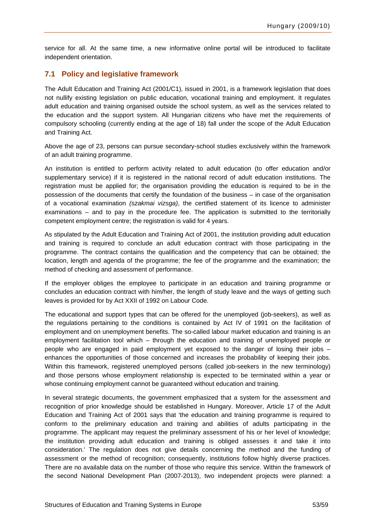<span id="page-54-0"></span>service for all. At the same time, a new informative online portal will be introduced to facilitate independent orientation.

### **7.1 Policy and legislative framework**

The Adult Education and Training Act (2001/C1), issued in 2001, is a framework legislation that does not nullify existing legislation on public education, vocational training and employment. It regulates adult education and training organised outside the school system, as well as the services related to the education and the support system. All Hungarian citizens who have met the requirements of compulsory schooling (currently ending at the age of 18) fall under the scope of the Adult Education and Training Act.

Above the age of 23, persons can pursue secondary-school studies exclusively within the framework of an adult training programme.

An institution is entitled to perform activity related to adult education (to offer education and/or supplementary service) if it is registered in the national record of adult education institutions. The registration must be applied for; the organisation providing the education is required to be in the possession of the documents that certify the foundation of the business – in case of the organisation of a vocational examination *(szakmai vizsga)*, the certified statement of its licence to administer examinations – and to pay in the procedure fee. The application is submitted to the territorially competent employment centre; the registration is valid for 4 years.

As stipulated by the Adult Education and Training Act of 2001, the institution providing adult education and training is required to conclude an adult education contract with those participating in the programme. The contract contains the qualification and the competency that can be obtained; the location, length and agenda of the programme; the fee of the programme and the examination; the method of checking and assessment of performance.

If the employer obliges the employee to participate in an education and training programme or concludes an education contract with him/her, the length of study leave and the ways of getting such leaves is provided for by Act XXII of 1992 on Labour Code.

The educational and support types that can be offered for the unemployed (job-seekers), as well as the regulations pertaining to the conditions is contained by Act IV of 1991 on the facilitation of employment and on unemployment benefits. The so-called labour market education and training is an employment facilitation tool which – through the education and training of unemployed people or people who are engaged in paid employment yet exposed to the danger of losing their jobs – enhances the opportunities of those concerned and increases the probability of keeping their jobs. Within this framework, registered unemployed persons (called job-seekers in the new terminology) and those persons whose employment relationship is expected to be terminated within a year or whose continuing employment cannot be guaranteed without education and training.

In several strategic documents, the government emphasized that a system for the assessment and recognition of prior knowledge should be established in Hungary. Moreover, Article 17 of the Adult Education and Training Act of 2001 says that 'the education and training programme is required to conform to the preliminary education and training and abilities of adults participating in the programme. The applicant may request the preliminary assessment of his or her level of knowledge; the institution providing adult education and training is obliged assesses it and take it into consideration.' The regulation does not give details concerning the method and the funding of assessment or the method of recognition; consequently, institutions follow highly diverse practices. There are no available data on the number of those who require this service. Within the framework of the second National Development Plan (2007-2013), two independent projects were planned: a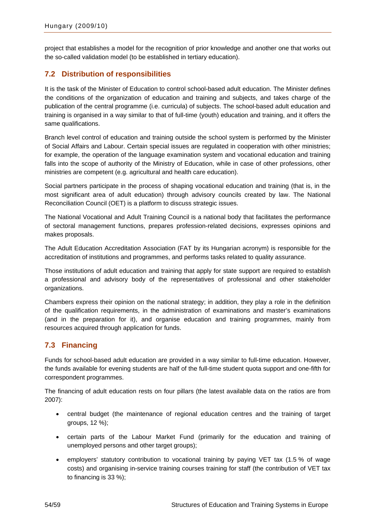<span id="page-55-0"></span>project that establishes a model for the recognition of prior knowledge and another one that works out the so-called validation model (to be established in tertiary education).

### **7.2 Distribution of responsibilities**

It is the task of the Minister of Education to control school-based adult education. The Minister defines the conditions of the organization of education and training and subjects, and takes charge of the publication of the central programme (i.e. curricula) of subjects. The school-based adult education and training is organised in a way similar to that of full-time (youth) education and training, and it offers the same qualifications.

Branch level control of education and training outside the school system is performed by the Minister of Social Affairs and Labour. Certain special issues are regulated in cooperation with other ministries; for example, the operation of the language examination system and vocational education and training falls into the scope of authority of the Ministry of Education, while in case of other professions, other ministries are competent (e.g. agricultural and health care education).

Social partners participate in the process of shaping vocational education and training (that is, in the most significant area of adult education) through advisory councils created by law. The National Reconciliation Council (OET) is a platform to discuss strategic issues.

The National Vocational and Adult Training Council is a national body that facilitates the performance of sectoral management functions, prepares profession-related decisions, expresses opinions and makes proposals.

The Adult Education Accreditation Association (FAT by its Hungarian acronym) is responsible for the accreditation of institutions and programmes, and performs tasks related to quality assurance.

Those institutions of adult education and training that apply for state support are required to establish a professional and advisory body of the representatives of professional and other stakeholder organizations.

Chambers express their opinion on the national strategy; in addition, they play a role in the definition of the qualification requirements, in the administration of examinations and master's examinations (and in the preparation for it), and organise education and training programmes, mainly from resources acquired through application for funds.

### **7.3 Financing**

Funds for school-based adult education are provided in a way similar to full-time education. However, the funds available for evening students are half of the full-time student quota support and one-fifth for correspondent programmes.

The financing of adult education rests on four pillars (the latest available data on the ratios are from 2007):

- central budget (the maintenance of regional education centres and the training of target groups, 12 %);
- certain parts of the Labour Market Fund (primarily for the education and training of unemployed persons and other target groups);
- employers' statutory contribution to vocational training by paying VET tax (1.5 % of wage costs) and organising in-service training courses training for staff (the contribution of VET tax to financing is 33 %);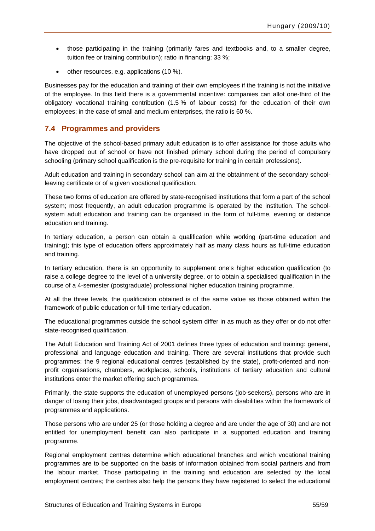- <span id="page-56-0"></span>• those participating in the training (primarily fares and textbooks and, to a smaller degree, tuition fee or training contribution); ratio in financing: 33 %;
- other resources, e.g. applications (10 %).

Businesses pay for the education and training of their own employees if the training is not the initiative of the employee. In this field there is a governmental incentive: companies can allot one-third of the obligatory vocational training contribution (1.5 % of labour costs) for the education of their own employees; in the case of small and medium enterprises, the ratio is 60 %.

#### **7.4 Programmes and providers**

The objective of the school-based primary adult education is to offer assistance for those adults who have dropped out of school or have not finished primary school during the period of compulsory schooling (primary school qualification is the pre-requisite for training in certain professions).

Adult education and training in secondary school can aim at the obtainment of the secondary schoolleaving certificate or of a given vocational qualification.

These two forms of education are offered by state-recognised institutions that form a part of the school system; most frequently, an adult education programme is operated by the institution. The schoolsystem adult education and training can be organised in the form of full-time, evening or distance education and training.

In tertiary education, a person can obtain a qualification while working (part-time education and training); this type of education offers approximately half as many class hours as full-time education and training.

In tertiary education, there is an opportunity to supplement one's higher education qualification (to raise a college degree to the level of a university degree, or to obtain a specialised qualification in the course of a 4-semester (postgraduate) professional higher education training programme.

At all the three levels, the qualification obtained is of the same value as those obtained within the framework of public education or full-time tertiary education.

The educational programmes outside the school system differ in as much as they offer or do not offer state-recognised qualification.

The Adult Education and Training Act of 2001 defines three types of education and training: general, professional and language education and training. There are several institutions that provide such programmes: the 9 regional educational centres (established by the state), profit-oriented and nonprofit organisations, chambers, workplaces, schools, institutions of tertiary education and cultural institutions enter the market offering such programmes.

Primarily, the state supports the education of unemployed persons (job-seekers), persons who are in danger of losing their jobs, disadvantaged groups and persons with disabilities within the framework of programmes and applications.

Those persons who are under 25 (or those holding a degree and are under the age of 30) and are not entitled for unemployment benefit can also participate in a supported education and training programme.

Regional employment centres determine which educational branches and which vocational training programmes are to be supported on the basis of information obtained from social partners and from the labour market. Those participating in the training and education are selected by the local employment centres; the centres also help the persons they have registered to select the educational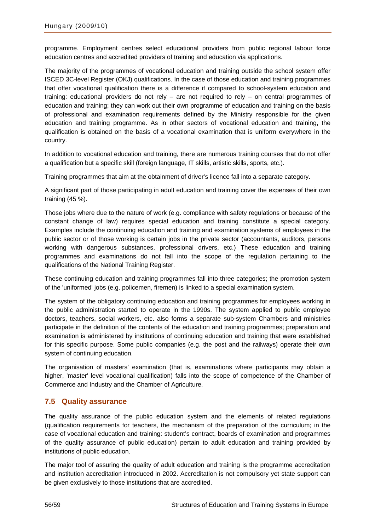<span id="page-57-0"></span>programme. Employment centres select educational providers from public regional labour force education centres and accredited providers of training and education via applications.

The majority of the programmes of vocational education and training outside the school system offer ISCED 3C-level Register (OKJ) qualifications. In the case of those education and training programmes that offer vocational qualification there is a difference if compared to school-system education and training: educational providers do not rely – are not required to rely – on central programmes of education and training; they can work out their own programme of education and training on the basis of professional and examination requirements defined by the Ministry responsible for the given education and training programme. As in other sectors of vocational education and training, the qualification is obtained on the basis of a vocational examination that is uniform everywhere in the country.

In addition to vocational education and training, there are numerous training courses that do not offer a qualification but a specific skill (foreign language, IT skills, artistic skills, sports, etc.).

Training programmes that aim at the obtainment of driver's licence fall into a separate category.

A significant part of those participating in adult education and training cover the expenses of their own training (45 %).

Those jobs where due to the nature of work (e.g. compliance with safety regulations or because of the constant change of law) requires special education and training constitute a special category. Examples include the continuing education and training and examination systems of employees in the public sector or of those working is certain jobs in the private sector (accountants, auditors, persons working with dangerous substances, professional drivers, etc.) These education and training programmes and examinations do not fall into the scope of the regulation pertaining to the qualifications of the National Training Register.

These continuing education and training programmes fall into three categories; the promotion system of the 'uniformed' jobs (e.g. policemen, firemen) is linked to a special examination system.

The system of the obligatory continuing education and training programmes for employees working in the public administration started to operate in the 1990s. The system applied to public employee doctors, teachers, social workers, etc. also forms a separate sub-system Chambers and ministries participate in the definition of the contents of the education and training programmes; preparation and examination is administered by institutions of continuing education and training that were established for this specific purpose. Some public companies (e.g. the post and the railways) operate their own system of continuing education.

The organisation of masters' examination (that is, examinations where participants may obtain a higher, 'master' level vocational qualification) falls into the scope of competence of the Chamber of Commerce and Industry and the Chamber of Agriculture.

### **7.5 Quality assurance**

The quality assurance of the public education system and the elements of related regulations (qualification requirements for teachers, the mechanism of the preparation of the curriculum; in the case of vocational education and training: student's contract, boards of examination and programmes of the quality assurance of public education) pertain to adult education and training provided by institutions of public education.

The major tool of assuring the quality of adult education and training is the programme accreditation and institution accreditation introduced in 2002. Accreditation is not compulsory yet state support can be given exclusively to those institutions that are accredited.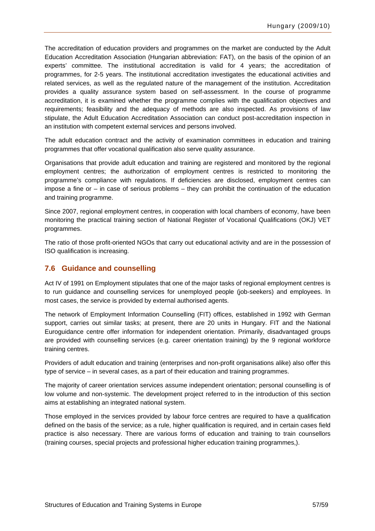<span id="page-58-0"></span>The accreditation of education providers and programmes on the market are conducted by the Adult Education Accreditation Association (Hungarian abbreviation: FAT), on the basis of the opinion of an experts' committee. The institutional accreditation is valid for 4 years; the accreditation of programmes, for 2-5 years. The institutional accreditation investigates the educational activities and related services, as well as the regulated nature of the management of the institution. Accreditation provides a quality assurance system based on self-assessment. In the course of programme accreditation, it is examined whether the programme complies with the qualification objectives and requirements; feasibility and the adequacy of methods are also inspected. As provisions of law stipulate, the Adult Education Accreditation Association can conduct post-accreditation inspection in an institution with competent external services and persons involved.

The adult education contract and the activity of examination committees in education and training programmes that offer vocational qualification also serve quality assurance.

Organisations that provide adult education and training are registered and monitored by the regional employment centres; the authorization of employment centres is restricted to monitoring the programme's compliance with regulations. If deficiencies are disclosed, employment centres can impose a fine or – in case of serious problems – they can prohibit the continuation of the education and training programme.

Since 2007, regional employment centres, in cooperation with local chambers of economy, have been monitoring the practical training section of National Register of Vocational Qualifications (OKJ) VET programmes.

The ratio of those profit-oriented NGOs that carry out educational activity and are in the possession of ISO qualification is increasing.

#### **7.6 Guidance and counselling**

Act IV of 1991 on Employment stipulates that one of the major tasks of regional employment centres is to run guidance and counselling services for unemployed people (job-seekers) and employees. In most cases, the service is provided by external authorised agents.

The network of Employment Information Counselling (FIT) offices, established in 1992 with German support, carries out similar tasks; at present, there are 20 units in Hungary. FIT and the National Euroguidance centre offer information for independent orientation. Primarily, disadvantaged groups are provided with counselling services (e.g. career orientation training) by the 9 regional workforce training centres.

Providers of adult education and training (enterprises and non-profit organisations alike) also offer this type of service – in several cases, as a part of their education and training programmes.

The majority of career orientation services assume independent orientation; personal counselling is of low volume and non-systemic. The development project referred to in the introduction of this section aims at establishing an integrated national system.

Those employed in the services provided by labour force centres are required to have a qualification defined on the basis of the service; as a rule, higher qualification is required, and in certain cases field practice is also necessary. There are various forms of education and training to train counsellors (training courses, special projects and professional higher education training programmes,).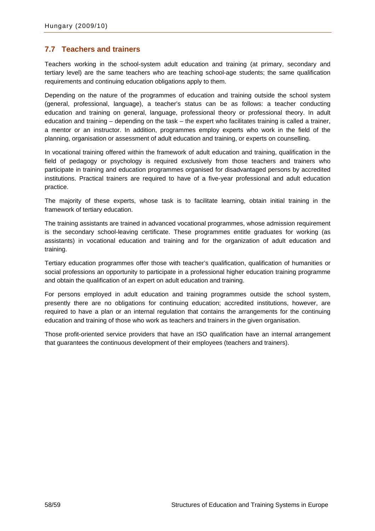### <span id="page-59-0"></span>**7.7 Teachers and trainers**

Teachers working in the school-system adult education and training (at primary, secondary and tertiary level) are the same teachers who are teaching school-age students; the same qualification requirements and continuing education obligations apply to them.

Depending on the nature of the programmes of education and training outside the school system (general, professional, language), a teacher's status can be as follows: a teacher conducting education and training on general, language, professional theory or professional theory. In adult education and training – depending on the task – the expert who facilitates training is called a trainer, a mentor or an instructor. In addition, programmes employ experts who work in the field of the planning, organisation or assessment of adult education and training, or experts on counselling.

In vocational training offered within the framework of adult education and training, qualification in the field of pedagogy or psychology is required exclusively from those teachers and trainers who participate in training and education programmes organised for disadvantaged persons by accredited institutions. Practical trainers are required to have of a five-year professional and adult education practice.

The majority of these experts, whose task is to facilitate learning, obtain initial training in the framework of tertiary education.

The training assistants are trained in advanced vocational programmes, whose admission requirement is the secondary school-leaving certificate. These programmes entitle graduates for working (as assistants) in vocational education and training and for the organization of adult education and training.

Tertiary education programmes offer those with teacher's qualification, qualification of humanities or social professions an opportunity to participate in a professional higher education training programme and obtain the qualification of an expert on adult education and training.

For persons employed in adult education and training programmes outside the school system, presently there are no obligations for continuing education; accredited institutions, however, are required to have a plan or an internal regulation that contains the arrangements for the continuing education and training of those who work as teachers and trainers in the given organisation.

Those profit-oriented service providers that have an ISO qualification have an internal arrangement that guarantees the continuous development of their employees (teachers and trainers).